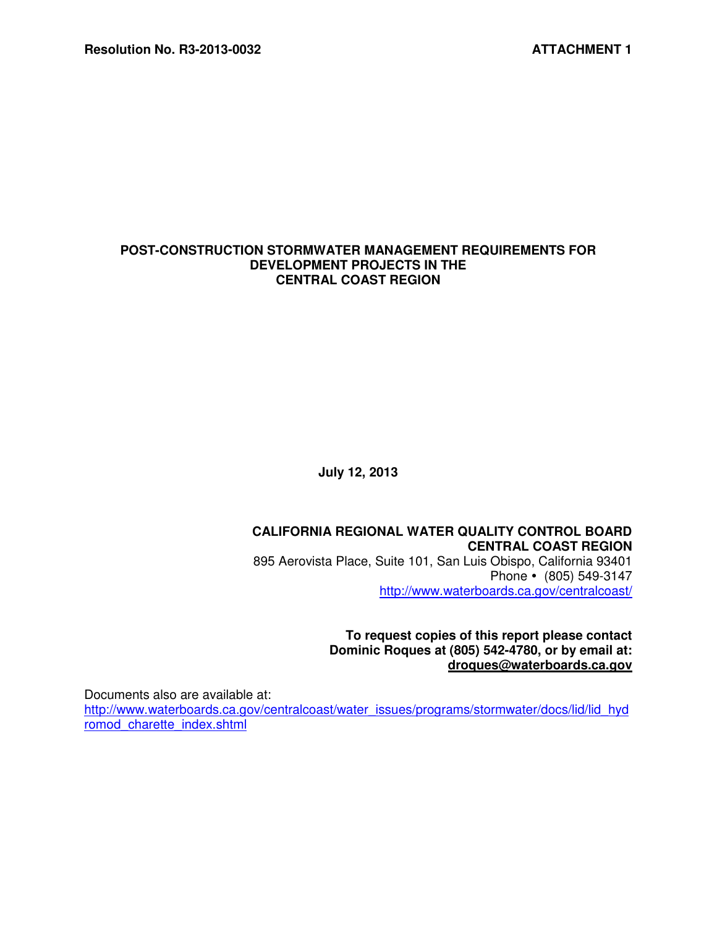#### **POST-CONSTRUCTION STORMWATER MANAGEMENT REQUIREMENTS FOR DEVELOPMENT PROJECTS IN THE CENTRAL COAST REGION**

**July 12, 2013**

#### **CALIFORNIA REGIONAL WATER QUALITY CONTROL BOARD CENTRAL COAST REGION**  895 Aerovista Place, Suite 101, San Luis Obispo, California 93401 Phone • (805) 549-3147 http://www.waterboards.ca.gov/centralcoast/

**To request copies of this report please contact Dominic Roques at (805) 542-4780, or by email at: droques@waterboards.ca.gov** 

Documents also are available at:

http://www.waterboards.ca.gov/centralcoast/water\_issues/programs/stormwater/docs/lid/lid\_hyd romod\_charette\_index.shtml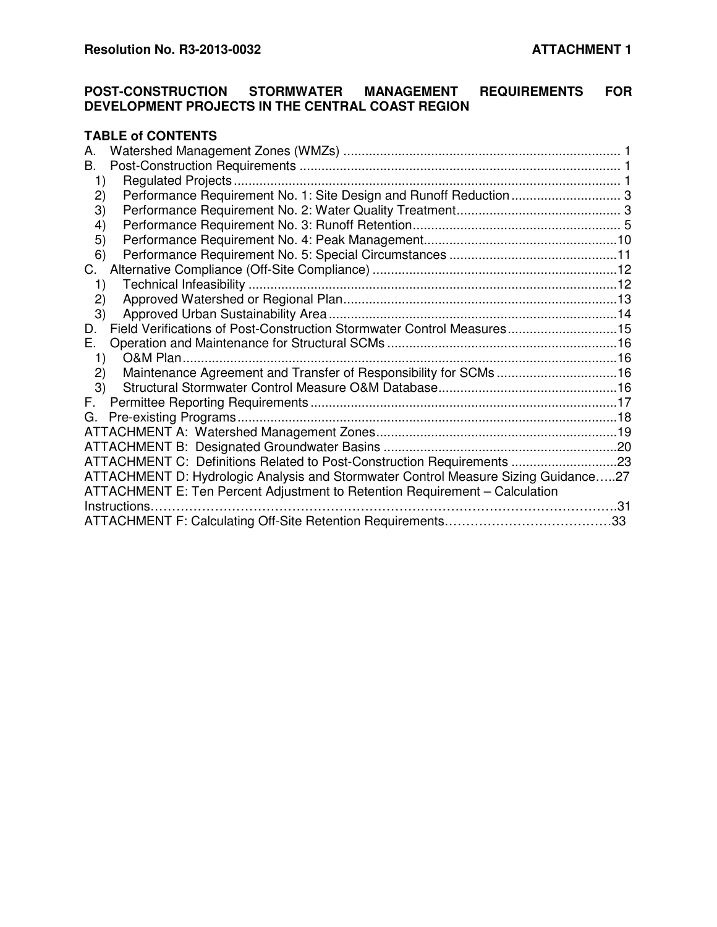# **POST-CONSTRUCTION STORMWATER MANAGEMENT REQUIREMENTS FOR DEVELOPMENT PROJECTS IN THE CENTRAL COAST REGION**

# **TABLE of CONTENTS**

| А. |                                                                                    |  |
|----|------------------------------------------------------------------------------------|--|
| Β. |                                                                                    |  |
| 1) |                                                                                    |  |
| 2) | Performance Requirement No. 1: Site Design and Runoff Reduction  3                 |  |
| 3) |                                                                                    |  |
| 4) |                                                                                    |  |
| 5) |                                                                                    |  |
| 6) |                                                                                    |  |
| C. |                                                                                    |  |
| 1) |                                                                                    |  |
| 2) |                                                                                    |  |
| 3) |                                                                                    |  |
| D. | Field Verifications of Post-Construction Stormwater Control Measures15             |  |
| Е. |                                                                                    |  |
| 1) |                                                                                    |  |
| 2) | Maintenance Agreement and Transfer of Responsibility for SCMs 16                   |  |
| 3) |                                                                                    |  |
| F. |                                                                                    |  |
| G. |                                                                                    |  |
|    |                                                                                    |  |
|    |                                                                                    |  |
|    | ATTACHMENT C: Definitions Related to Post-Construction Requirements 23             |  |
|    | ATTACHMENT D: Hydrologic Analysis and Stormwater Control Measure Sizing Guidance27 |  |
|    | ATTACHMENT E: Ten Percent Adjustment to Retention Requirement - Calculation        |  |
|    | Instructions.                                                                      |  |
|    |                                                                                    |  |
|    |                                                                                    |  |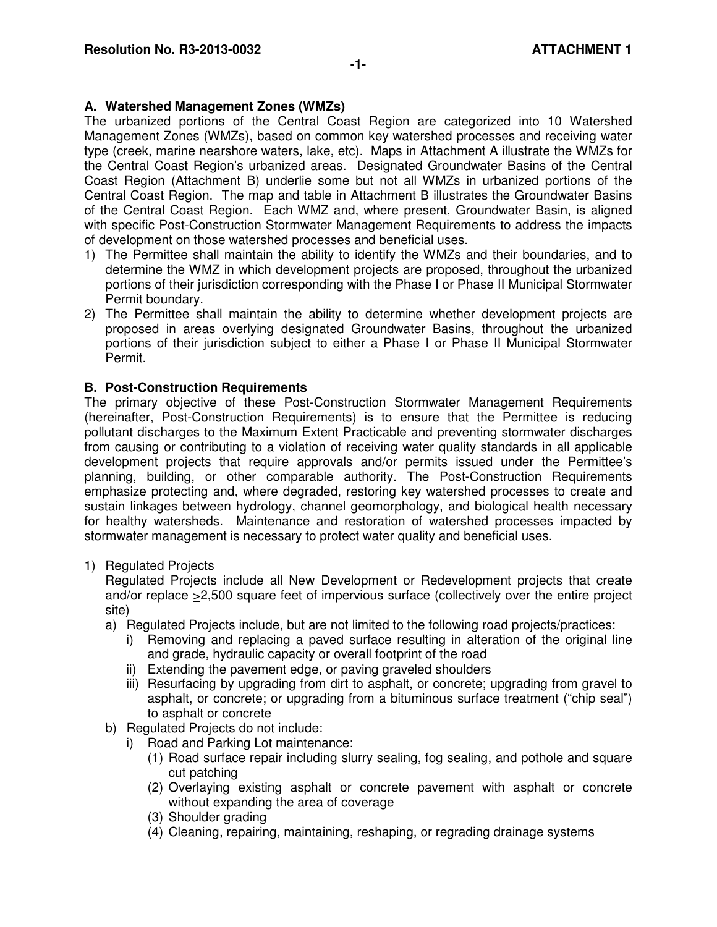## **A. Watershed Management Zones (WMZs)**

The urbanized portions of the Central Coast Region are categorized into 10 Watershed Management Zones (WMZs), based on common key watershed processes and receiving water type (creek, marine nearshore waters, lake, etc). Maps in Attachment A illustrate the WMZs for the Central Coast Region's urbanized areas. Designated Groundwater Basins of the Central Coast Region (Attachment B) underlie some but not all WMZs in urbanized portions of the Central Coast Region. The map and table in Attachment B illustrates the Groundwater Basins of the Central Coast Region. Each WMZ and, where present, Groundwater Basin, is aligned with specific Post-Construction Stormwater Management Requirements to address the impacts of development on those watershed processes and beneficial uses.

- 1) The Permittee shall maintain the ability to identify the WMZs and their boundaries, and to determine the WMZ in which development projects are proposed, throughout the urbanized portions of their jurisdiction corresponding with the Phase I or Phase II Municipal Stormwater Permit boundary.
- 2) The Permittee shall maintain the ability to determine whether development projects are proposed in areas overlying designated Groundwater Basins, throughout the urbanized portions of their jurisdiction subject to either a Phase I or Phase II Municipal Stormwater Permit.

# **B. Post-Construction Requirements**

The primary objective of these Post-Construction Stormwater Management Requirements (hereinafter, Post-Construction Requirements) is to ensure that the Permittee is reducing pollutant discharges to the Maximum Extent Practicable and preventing stormwater discharges from causing or contributing to a violation of receiving water quality standards in all applicable development projects that require approvals and/or permits issued under the Permittee's planning, building, or other comparable authority. The Post-Construction Requirements emphasize protecting and, where degraded, restoring key watershed processes to create and sustain linkages between hydrology, channel geomorphology, and biological health necessary for healthy watersheds. Maintenance and restoration of watershed processes impacted by stormwater management is necessary to protect water quality and beneficial uses.

## 1) Regulated Projects

Regulated Projects include all New Development or Redevelopment projects that create and/or replace >2,500 square feet of impervious surface (collectively over the entire project site)

- a) Regulated Projects include, but are not limited to the following road projects/practices:
	- i) Removing and replacing a paved surface resulting in alteration of the original line and grade, hydraulic capacity or overall footprint of the road
	- ii) Extending the pavement edge, or paving graveled shoulders
	- iii) Resurfacing by upgrading from dirt to asphalt, or concrete; upgrading from gravel to asphalt, or concrete; or upgrading from a bituminous surface treatment ("chip seal") to asphalt or concrete
- b) Regulated Projects do not include:
	- i) Road and Parking Lot maintenance:
		- (1) Road surface repair including slurry sealing, fog sealing, and pothole and square cut patching
		- (2) Overlaying existing asphalt or concrete pavement with asphalt or concrete without expanding the area of coverage
		- (3) Shoulder grading
		- (4) Cleaning, repairing, maintaining, reshaping, or regrading drainage systems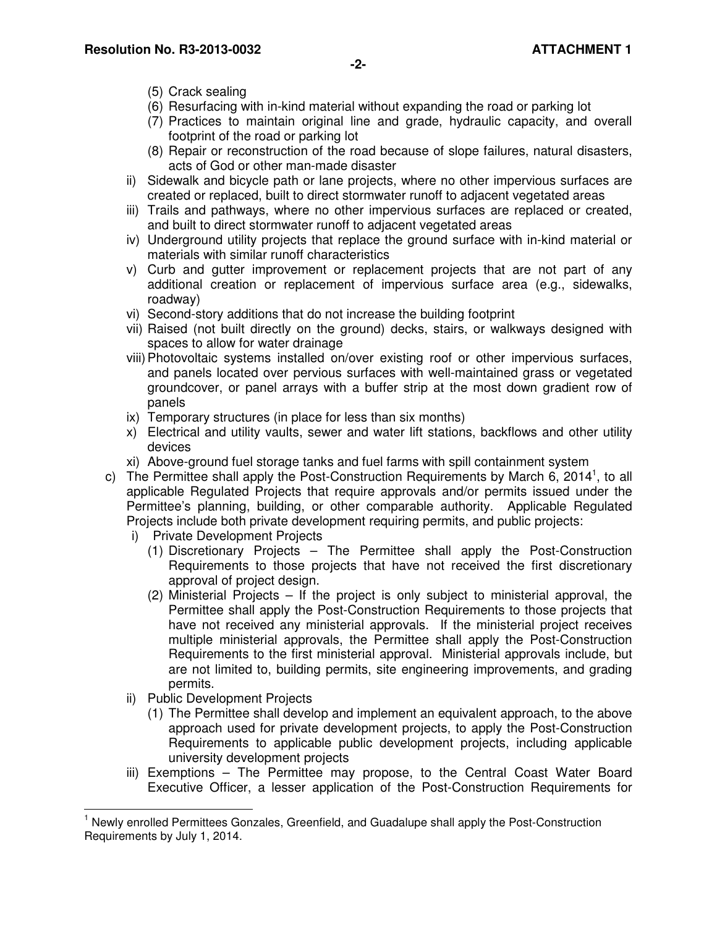- (5) Crack sealing
- (6) Resurfacing with in-kind material without expanding the road or parking lot
- (7) Practices to maintain original line and grade, hydraulic capacity, and overall footprint of the road or parking lot
- (8) Repair or reconstruction of the road because of slope failures, natural disasters, acts of God or other man-made disaster
- ii) Sidewalk and bicycle path or lane projects, where no other impervious surfaces are created or replaced, built to direct stormwater runoff to adjacent vegetated areas
- iii) Trails and pathways, where no other impervious surfaces are replaced or created, and built to direct stormwater runoff to adjacent vegetated areas
- iv) Underground utility projects that replace the ground surface with in-kind material or materials with similar runoff characteristics
- v) Curb and gutter improvement or replacement projects that are not part of any additional creation or replacement of impervious surface area (e.g., sidewalks, roadway)
- vi) Second-story additions that do not increase the building footprint
- vii) Raised (not built directly on the ground) decks, stairs, or walkways designed with spaces to allow for water drainage
- viii) Photovoltaic systems installed on/over existing roof or other impervious surfaces, and panels located over pervious surfaces with well-maintained grass or vegetated groundcover, or panel arrays with a buffer strip at the most down gradient row of panels
- ix) Temporary structures (in place for less than six months)
- x) Electrical and utility vaults, sewer and water lift stations, backflows and other utility devices
- xi) Above-ground fuel storage tanks and fuel farms with spill containment system
- c) The Permittee shall apply the Post-Construction Requirements by March 6, 2014<sup>1</sup>, to all applicable Regulated Projects that require approvals and/or permits issued under the Permittee's planning, building, or other comparable authority. Applicable Regulated Projects include both private development requiring permits, and public projects:
	- i) Private Development Projects
		- (1) Discretionary Projects The Permittee shall apply the Post-Construction Requirements to those projects that have not received the first discretionary approval of project design.
		- (2) Ministerial Projects If the project is only subject to ministerial approval, the Permittee shall apply the Post-Construction Requirements to those projects that have not received any ministerial approvals. If the ministerial project receives multiple ministerial approvals, the Permittee shall apply the Post-Construction Requirements to the first ministerial approval. Ministerial approvals include, but are not limited to, building permits, site engineering improvements, and grading permits.
	- ii) Public Development Projects

 $\overline{a}$ 

- (1) The Permittee shall develop and implement an equivalent approach, to the above approach used for private development projects, to apply the Post-Construction Requirements to applicable public development projects, including applicable university development projects
- iii) Exemptions The Permittee may propose, to the Central Coast Water Board Executive Officer, a lesser application of the Post-Construction Requirements for

<sup>&</sup>lt;sup>1</sup> Newly enrolled Permittees Gonzales, Greenfield, and Guadalupe shall apply the Post-Construction Requirements by July 1, 2014.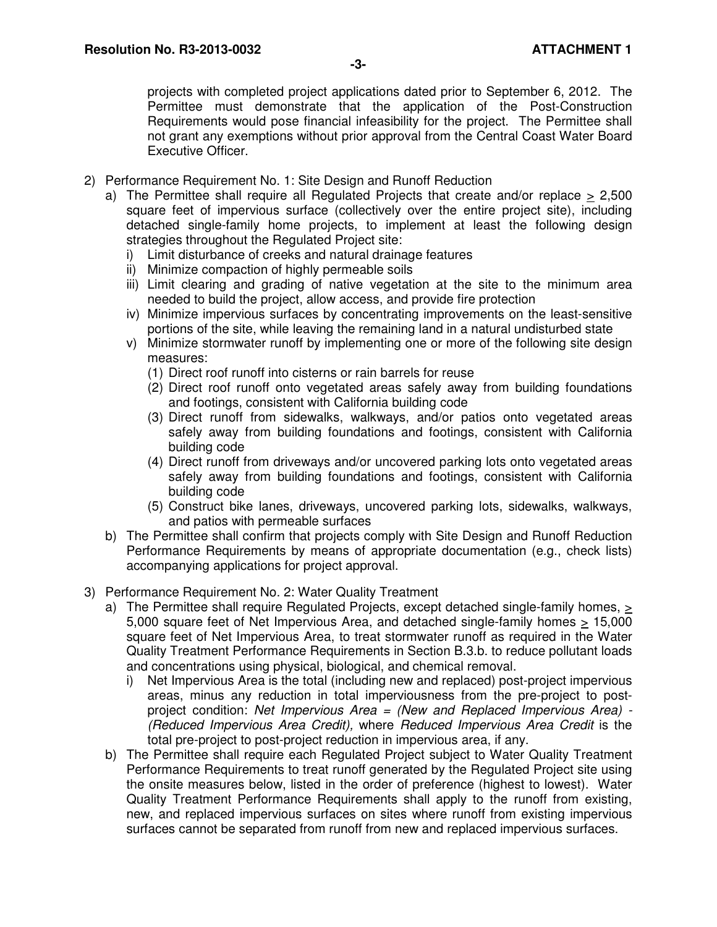projects with completed project applications dated prior to September 6, 2012. The Permittee must demonstrate that the application of the Post-Construction Requirements would pose financial infeasibility for the project. The Permittee shall not grant any exemptions without prior approval from the Central Coast Water Board Executive Officer.

- 2) Performance Requirement No. 1: Site Design and Runoff Reduction
	- a) The Permittee shall require all Regulated Projects that create and/or replace > 2,500 square feet of impervious surface (collectively over the entire proiect site), including detached single-family home projects, to implement at least the following design strategies throughout the Regulated Project site:
		- i) Limit disturbance of creeks and natural drainage features
		- ii) Minimize compaction of highly permeable soils
		- iii) Limit clearing and grading of native vegetation at the site to the minimum area needed to build the project, allow access, and provide fire protection
		- iv) Minimize impervious surfaces by concentrating improvements on the least-sensitive portions of the site, while leaving the remaining land in a natural undisturbed state
		- v) Minimize stormwater runoff by implementing one or more of the following site design measures:
			- (1) Direct roof runoff into cisterns or rain barrels for reuse
			- (2) Direct roof runoff onto vegetated areas safely away from building foundations and footings, consistent with California building code
			- (3) Direct runoff from sidewalks, walkways, and/or patios onto vegetated areas safely away from building foundations and footings, consistent with California building code
			- (4) Direct runoff from driveways and/or uncovered parking lots onto vegetated areas safely away from building foundations and footings, consistent with California building code
			- (5) Construct bike lanes, driveways, uncovered parking lots, sidewalks, walkways, and patios with permeable surfaces
	- b) The Permittee shall confirm that projects comply with Site Design and Runoff Reduction Performance Requirements by means of appropriate documentation (e.g., check lists) accompanying applications for project approval.
- 3) Performance Requirement No. 2: Water Quality Treatment
	- a) The Permittee shall require Regulated Projects, except detached single-family homes, > 5,000 square feet of Net Impervious Area, and detached single-family homes > 15,000 square feet of Net Impervious Area, to treat stormwater runoff as required in the Water Quality Treatment Performance Requirements in Section B.3.b. to reduce pollutant loads and concentrations using physical, biological, and chemical removal.
		- i) Net Impervious Area is the total (including new and replaced) post-project impervious areas, minus any reduction in total imperviousness from the pre-project to postproject condition: Net Impervious Area = (New and Replaced Impervious Area) - (Reduced Impervious Area Credit), where Reduced Impervious Area Credit is the total pre-project to post-project reduction in impervious area, if any.
	- b) The Permittee shall require each Regulated Project subject to Water Quality Treatment Performance Requirements to treat runoff generated by the Regulated Project site using the onsite measures below, listed in the order of preference (highest to lowest). Water Quality Treatment Performance Requirements shall apply to the runoff from existing, new, and replaced impervious surfaces on sites where runoff from existing impervious surfaces cannot be separated from runoff from new and replaced impervious surfaces.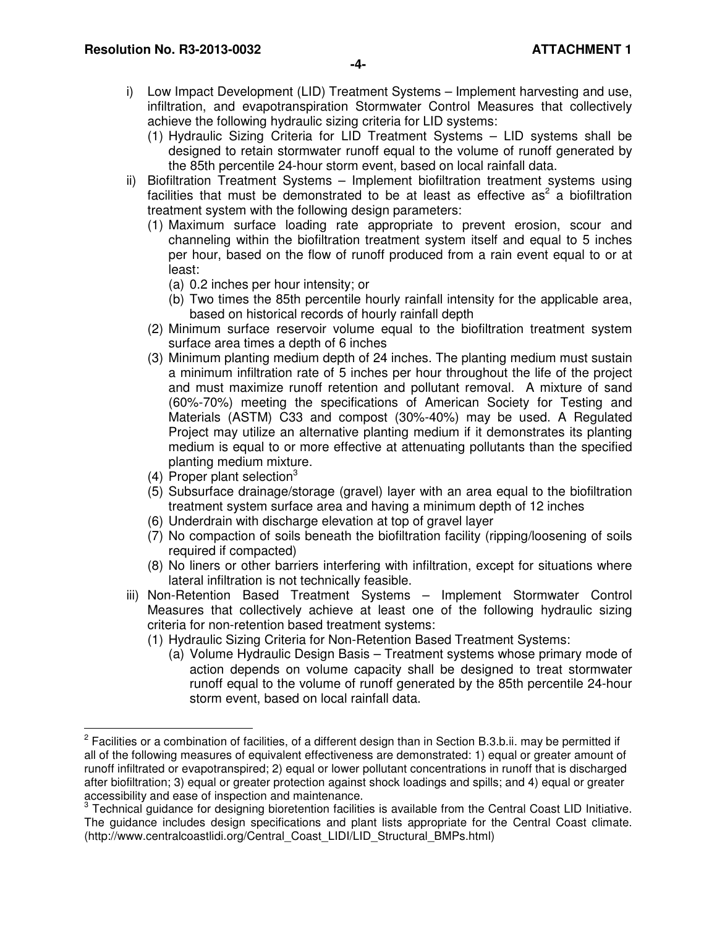- i) Low Impact Development (LID) Treatment Systems Implement harvesting and use, infiltration, and evapotranspiration Stormwater Control Measures that collectively achieve the following hydraulic sizing criteria for LID systems:
	- (1) Hydraulic Sizing Criteria for LID Treatment Systems LID systems shall be designed to retain stormwater runoff equal to the volume of runoff generated by the 85th percentile 24-hour storm event, based on local rainfall data.
- ii) Biofiltration Treatment Systems Implement biofiltration treatment systems using facilities that must be demonstrated to be at least as effective  $as<sup>2</sup>$  a biofiltration treatment system with the following design parameters:
	- (1) Maximum surface loading rate appropriate to prevent erosion, scour and channeling within the biofiltration treatment system itself and equal to 5 inches per hour, based on the flow of runoff produced from a rain event equal to or at least:
		- (a) 0.2 inches per hour intensity; or
		- (b) Two times the 85th percentile hourly rainfall intensity for the applicable area, based on historical records of hourly rainfall depth
	- (2) Minimum surface reservoir volume equal to the biofiltration treatment system surface area times a depth of 6 inches
	- (3) Minimum planting medium depth of 24 inches. The planting medium must sustain a minimum infiltration rate of 5 inches per hour throughout the life of the project and must maximize runoff retention and pollutant removal. A mixture of sand (60%-70%) meeting the specifications of American Society for Testing and Materials (ASTM) C33 and compost (30%-40%) may be used. A Regulated Project may utilize an alternative planting medium if it demonstrates its planting medium is equal to or more effective at attenuating pollutants than the specified planting medium mixture.
	- (4) Proper plant selection<sup>3</sup>

 $\overline{a}$ 

- (5) Subsurface drainage/storage (gravel) layer with an area equal to the biofiltration treatment system surface area and having a minimum depth of 12 inches
- (6) Underdrain with discharge elevation at top of gravel layer
- (7) No compaction of soils beneath the biofiltration facility (ripping/loosening of soils required if compacted)
- (8) No liners or other barriers interfering with infiltration, except for situations where lateral infiltration is not technically feasible.
- iii) Non-Retention Based Treatment Systems Implement Stormwater Control Measures that collectively achieve at least one of the following hydraulic sizing criteria for non-retention based treatment systems:
	- (1) Hydraulic Sizing Criteria for Non-Retention Based Treatment Systems:
		- (a) Volume Hydraulic Design Basis Treatment systems whose primary mode of action depends on volume capacity shall be designed to treat stormwater runoff equal to the volume of runoff generated by the 85th percentile 24-hour storm event, based on local rainfall data.

 $2$  Facilities or a combination of facilities, of a different design than in Section B.3.b.ii. may be permitted if all of the following measures of equivalent effectiveness are demonstrated: 1) equal or greater amount of runoff infiltrated or evapotranspired; 2) equal or lower pollutant concentrations in runoff that is discharged after biofiltration; 3) equal or greater protection against shock loadings and spills; and 4) equal or greater accessibility and ease of inspection and maintenance.

 $3$  Technical guidance for designing bioretention facilities is available from the Central Coast LID Initiative. The guidance includes design specifications and plant lists appropriate for the Central Coast climate. (http://www.centralcoastlidi.org/Central\_Coast\_LIDI/LID\_Structural\_BMPs.html)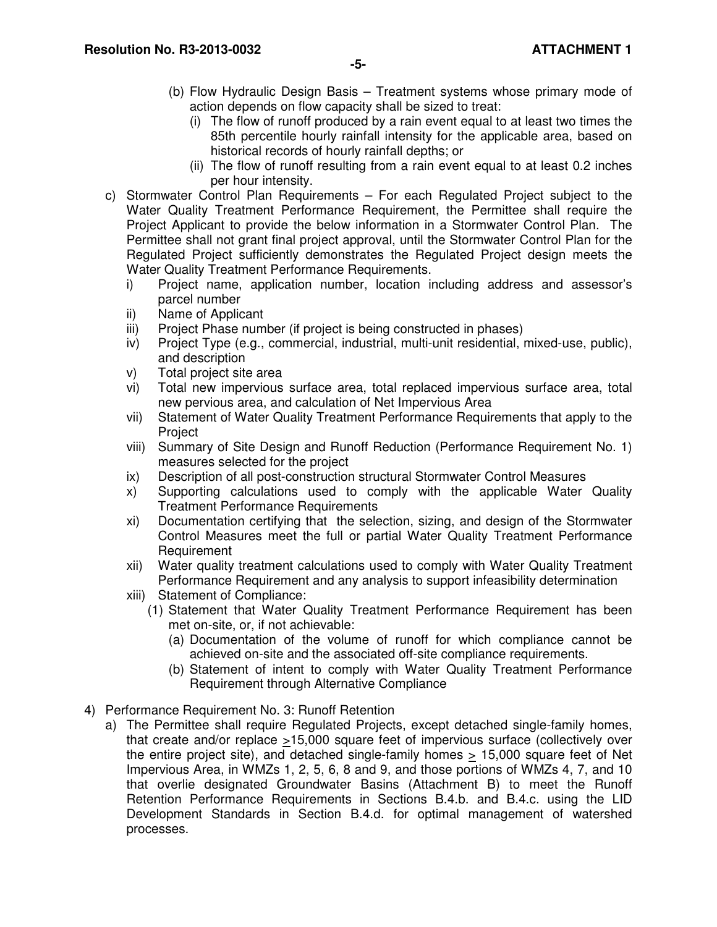- (b) Flow Hydraulic Design Basis Treatment systems whose primary mode of action depends on flow capacity shall be sized to treat:
	- (i) The flow of runoff produced by a rain event equal to at least two times the 85th percentile hourly rainfall intensity for the applicable area, based on historical records of hourly rainfall depths; or
	- (ii) The flow of runoff resulting from a rain event equal to at least 0.2 inches per hour intensity.
- c) Stormwater Control Plan Requirements For each Regulated Project subject to the Water Quality Treatment Performance Requirement, the Permittee shall require the Project Applicant to provide the below information in a Stormwater Control Plan. The Permittee shall not grant final project approval, until the Stormwater Control Plan for the Regulated Project sufficiently demonstrates the Regulated Project design meets the Water Quality Treatment Performance Requirements.
	- i) Project name, application number, location including address and assessor's parcel number
	- ii) Name of Applicant
	- iii) Project Phase number (if project is being constructed in phases)
	- iv) Project Type (e.g., commercial, industrial, multi-unit residential, mixed-use, public), and description
	- v) Total project site area
	- vi) Total new impervious surface area, total replaced impervious surface area, total new pervious area, and calculation of Net Impervious Area
	- vii) Statement of Water Quality Treatment Performance Requirements that apply to the Project
	- viii) Summary of Site Design and Runoff Reduction (Performance Requirement No. 1) measures selected for the project
	- ix) Description of all post-construction structural Stormwater Control Measures
	- x) Supporting calculations used to comply with the applicable Water Quality Treatment Performance Requirements
	- xi) Documentation certifying that the selection, sizing, and design of the Stormwater Control Measures meet the full or partial Water Quality Treatment Performance Requirement
	- xii) Water quality treatment calculations used to comply with Water Quality Treatment Performance Requirement and any analysis to support infeasibility determination
	- xiii) Statement of Compliance:
		- (1) Statement that Water Quality Treatment Performance Requirement has been met on-site, or, if not achievable:
			- (a) Documentation of the volume of runoff for which compliance cannot be achieved on-site and the associated off-site compliance requirements.
			- (b) Statement of intent to comply with Water Quality Treatment Performance Requirement through Alternative Compliance
- 4) Performance Requirement No. 3: Runoff Retention
	- a) The Permittee shall require Regulated Projects, except detached single-family homes, that create and/or replace  $\geq$ 15,000 square feet of impervious surface (collectively over the entire project site), and detached single-family homes > 15,000 square feet of Net Impervious Area, in WMZs 1, 2, 5, 6, 8 and 9, and those portions of WMZs 4, 7, and 10 that overlie designated Groundwater Basins (Attachment B) to meet the Runoff Retention Performance Requirements in Sections B.4.b. and B.4.c. using the LID Development Standards in Section B.4.d. for optimal management of watershed processes.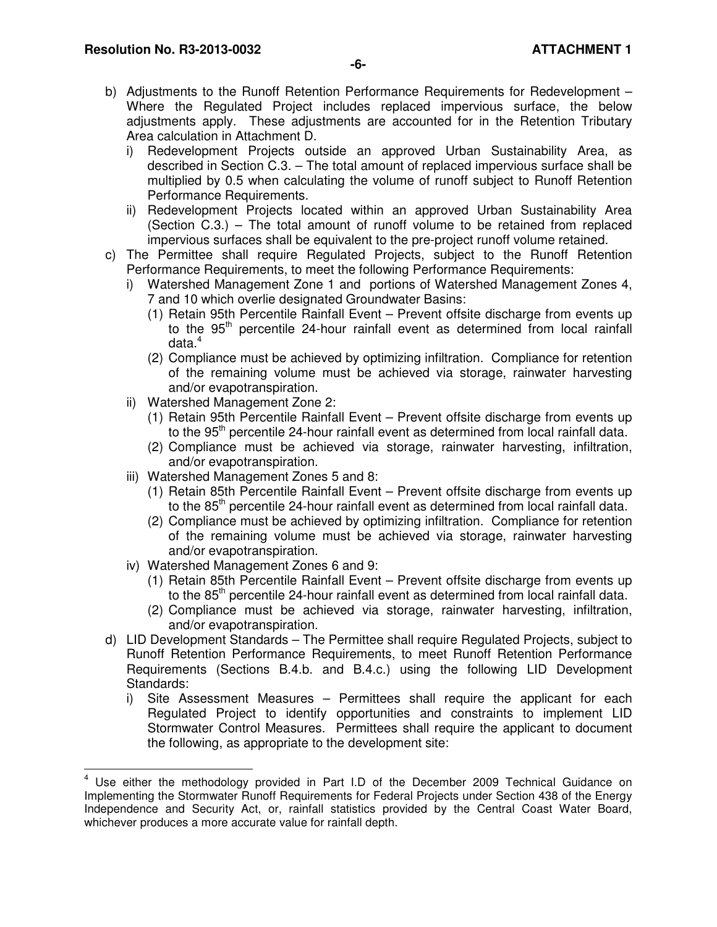- i) Redevelopment Projects outside an approved Urban Sustainability Area, as described in Section C.3. – The total amount of replaced impervious surface shall be multiplied by 0.5 when calculating the volume of runoff subject to Runoff Retention Performance Requirements.
- ii) Redevelopment Projects located within an approved Urban Sustainability Area (Section C.3.) – The total amount of runoff volume to be retained from replaced impervious surfaces shall be equivalent to the pre-project runoff volume retained.
- c) The Permittee shall require Regulated Projects, subject to the Runoff Retention Performance Requirements, to meet the following Performance Requirements:
	- i) Watershed Management Zone 1 and portions of Watershed Management Zones 4, 7 and 10 which overlie designated Groundwater Basins:
		- (1) Retain 95th Percentile Rainfall Event Prevent offsite discharge from events up to the 95<sup>th</sup> percentile 24-hour rainfall event as determined from local rainfall data. $^{\rm 4}$
		- (2) Compliance must be achieved by optimizing infiltration. Compliance for retention of the remaining volume must be achieved via storage, rainwater harvesting and/or evapotranspiration.
	- ii) Watershed Management Zone 2:
		- (1) Retain 95th Percentile Rainfall Event Prevent offsite discharge from events up to the 95<sup>th</sup> percentile 24-hour rainfall event as determined from local rainfall data.
		- (2) Compliance must be achieved via storage, rainwater harvesting, infiltration, and/or evapotranspiration.
	- iii) Watershed Management Zones 5 and 8:
		- (1) Retain 85th Percentile Rainfall Event Prevent offsite discharge from events up to the  $85<sup>th</sup>$  percentile 24-hour rainfall event as determined from local rainfall data.
		- (2) Compliance must be achieved by optimizing infiltration. Compliance for retention of the remaining volume must be achieved via storage, rainwater harvesting and/or evapotranspiration.
	- iv) Watershed Management Zones 6 and 9:
		- (1) Retain 85th Percentile Rainfall Event Prevent offsite discharge from events up to the 85<sup>th</sup> percentile 24-hour rainfall event as determined from local rainfall data.
		- (2) Compliance must be achieved via storage, rainwater harvesting, infiltration, and/or evapotranspiration.
- d) LID Development Standards The Permittee shall require Regulated Projects, subject to Runoff Retention Performance Requirements, to meet Runoff Retention Performance Requirements (Sections B.4.b. and B.4.c.) using the following LID Development Standards:
	- i) Site Assessment Measures Permittees shall require the applicant for each Regulated Project to identify opportunities and constraints to implement LID Stormwater Control Measures. Permittees shall require the applicant to document the following, as appropriate to the development site:

 4 Use either the methodology provided in Part I.D of the December 2009 Technical Guidance on Implementing the Stormwater Runoff Requirements for Federal Projects under Section 438 of the Energy Independence and Security Act, or, rainfall statistics provided by the Central Coast Water Board, whichever produces a more accurate value for rainfall depth.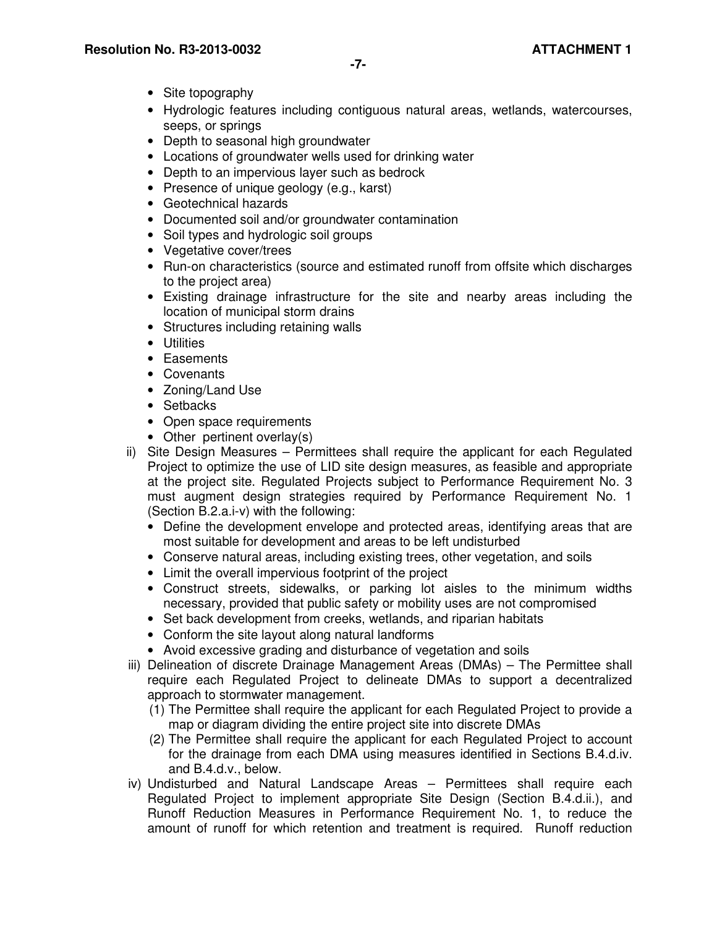- Site topography
- Hydrologic features including contiguous natural areas, wetlands, watercourses, seeps, or springs
- Depth to seasonal high groundwater
- Locations of groundwater wells used for drinking water
- Depth to an impervious layer such as bedrock
- Presence of unique geology (e.g., karst)
- Geotechnical hazards
- Documented soil and/or groundwater contamination
- Soil types and hydrologic soil groups
- Vegetative cover/trees
- Run-on characteristics (source and estimated runoff from offsite which discharges to the project area)
- Existing drainage infrastructure for the site and nearby areas including the location of municipal storm drains
- Structures including retaining walls
- Utilities
- Easements
- Covenants
- Zoning/Land Use
- Setbacks
- Open space requirements
- Other pertinent overlay(s)
- ii) Site Design Measures Permittees shall require the applicant for each Regulated Project to optimize the use of LID site design measures, as feasible and appropriate at the project site. Regulated Projects subject to Performance Requirement No. 3 must augment design strategies required by Performance Requirement No. 1 (Section B.2.a.i-v) with the following:
	- Define the development envelope and protected areas, identifying areas that are most suitable for development and areas to be left undisturbed
	- Conserve natural areas, including existing trees, other vegetation, and soils
	- Limit the overall impervious footprint of the project
	- Construct streets, sidewalks, or parking lot aisles to the minimum widths necessary, provided that public safety or mobility uses are not compromised
	- Set back development from creeks, wetlands, and riparian habitats
	- Conform the site layout along natural landforms
	- Avoid excessive grading and disturbance of vegetation and soils
- iii) Delineation of discrete Drainage Management Areas (DMAs) The Permittee shall require each Regulated Project to delineate DMAs to support a decentralized approach to stormwater management.
	- (1) The Permittee shall require the applicant for each Regulated Project to provide a map or diagram dividing the entire project site into discrete DMAs
	- (2) The Permittee shall require the applicant for each Regulated Project to account for the drainage from each DMA using measures identified in Sections B.4.d.iv. and B.4.d.v., below.
- iv) Undisturbed and Natural Landscape Areas Permittees shall require each Regulated Project to implement appropriate Site Design (Section B.4.d.ii.), and Runoff Reduction Measures in Performance Requirement No. 1, to reduce the amount of runoff for which retention and treatment is required. Runoff reduction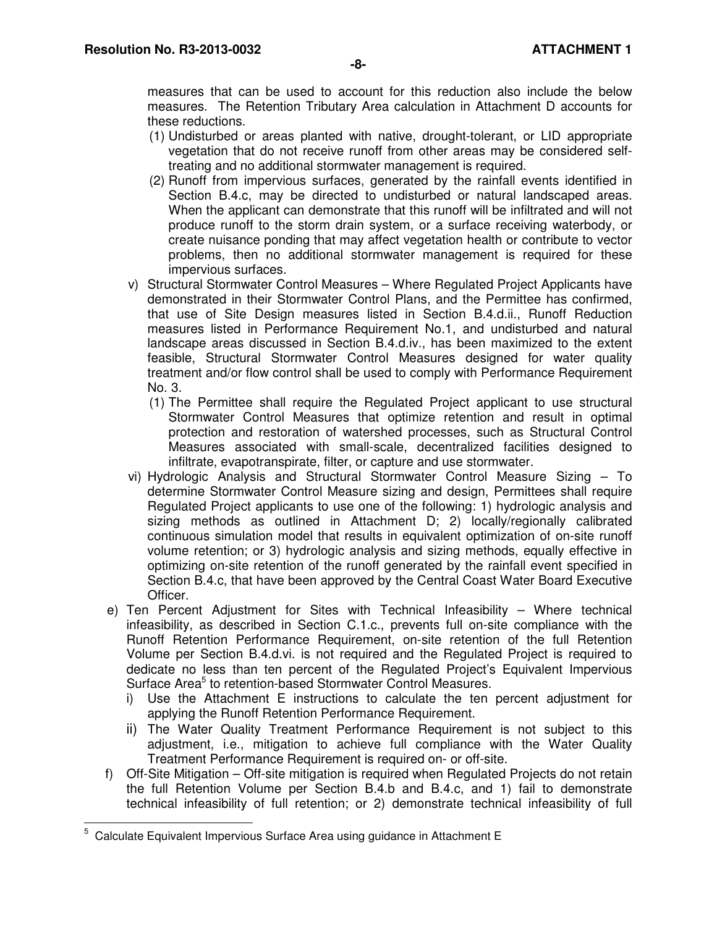measures that can be used to account for this reduction also include the below measures. The Retention Tributary Area calculation in Attachment D accounts for these reductions.

- (1) Undisturbed or areas planted with native, drought-tolerant, or LID appropriate vegetation that do not receive runoff from other areas may be considered selftreating and no additional stormwater management is required.
- (2) Runoff from impervious surfaces, generated by the rainfall events identified in Section B.4.c, may be directed to undisturbed or natural landscaped areas. When the applicant can demonstrate that this runoff will be infiltrated and will not produce runoff to the storm drain system, or a surface receiving waterbody, or create nuisance ponding that may affect vegetation health or contribute to vector problems, then no additional stormwater management is required for these impervious surfaces.
- v) Structural Stormwater Control Measures Where Regulated Project Applicants have demonstrated in their Stormwater Control Plans, and the Permittee has confirmed, that use of Site Design measures listed in Section B.4.d.ii., Runoff Reduction measures listed in Performance Requirement No.1, and undisturbed and natural landscape areas discussed in Section B.4.d.iv., has been maximized to the extent feasible, Structural Stormwater Control Measures designed for water quality treatment and/or flow control shall be used to comply with Performance Requirement No. 3.
	- (1) The Permittee shall require the Regulated Project applicant to use structural Stormwater Control Measures that optimize retention and result in optimal protection and restoration of watershed processes, such as Structural Control Measures associated with small-scale, decentralized facilities designed to infiltrate, evapotranspirate, filter, or capture and use stormwater.
- vi) Hydrologic Analysis and Structural Stormwater Control Measure Sizing To determine Stormwater Control Measure sizing and design, Permittees shall require Regulated Project applicants to use one of the following: 1) hydrologic analysis and sizing methods as outlined in Attachment D; 2) locally/regionally calibrated continuous simulation model that results in equivalent optimization of on-site runoff volume retention; or 3) hydrologic analysis and sizing methods, equally effective in optimizing on-site retention of the runoff generated by the rainfall event specified in Section B.4.c, that have been approved by the Central Coast Water Board Executive Officer.
- e) Ten Percent Adjustment for Sites with Technical Infeasibility Where technical infeasibility, as described in Section C.1.c., prevents full on-site compliance with the Runoff Retention Performance Requirement, on-site retention of the full Retention Volume per Section B.4.d.vi. is not required and the Regulated Project is required to dedicate no less than ten percent of the Regulated Project's Equivalent Impervious Surface Area<sup>5</sup> to retention-based Stormwater Control Measures.
	- i) Use the Attachment E instructions to calculate the ten percent adjustment for applying the Runoff Retention Performance Requirement.
	- ii) The Water Quality Treatment Performance Requirement is not subject to this adjustment, i.e., mitigation to achieve full compliance with the Water Quality Treatment Performance Requirement is required on- or off-site.
- f) Off-Site Mitigation Off-site mitigation is required when Regulated Projects do not retain the full Retention Volume per Section B.4.b and B.4.c, and 1) fail to demonstrate technical infeasibility of full retention; or 2) demonstrate technical infeasibility of full

<sup>—&</sup>lt;br>5 Calculate Equivalent Impervious Surface Area using guidance in Attachment E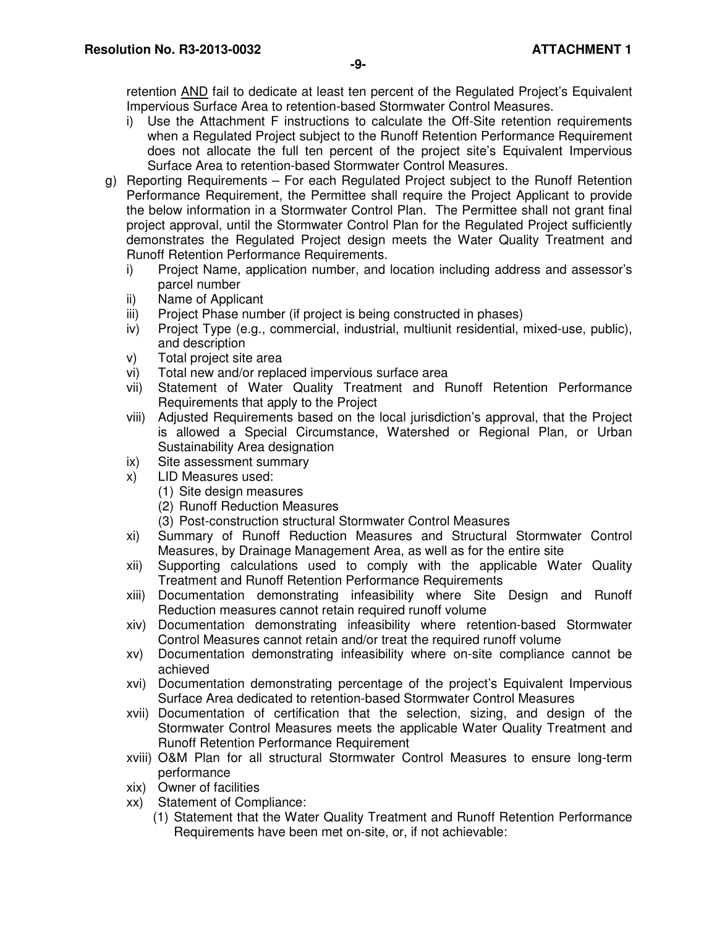retention AND fail to dedicate at least ten percent of the Regulated Project's Equivalent Impervious Surface Area to retention-based Stormwater Control Measures.

- i) Use the Attachment F instructions to calculate the Off-Site retention requirements when a Regulated Project subject to the Runoff Retention Performance Requirement does not allocate the full ten percent of the project site's Equivalent Impervious Surface Area to retention-based Stormwater Control Measures.
- g) Reporting Requirements For each Regulated Project subject to the Runoff Retention Performance Requirement, the Permittee shall require the Project Applicant to provide the below information in a Stormwater Control Plan. The Permittee shall not grant final project approval, until the Stormwater Control Plan for the Regulated Project sufficiently demonstrates the Regulated Project design meets the Water Quality Treatment and Runoff Retention Performance Requirements.
	- i) Project Name, application number, and location including address and assessor's parcel number
	- ii) Name of Applicant
	- iii) Project Phase number (if project is being constructed in phases)
	- iv) Project Type (e.g., commercial, industrial, multiunit residential, mixed-use, public), and description
	- v) Total project site area
	- vi) Total new and/or replaced impervious surface area
	- vii) Statement of Water Quality Treatment and Runoff Retention Performance Requirements that apply to the Project
	- viii) Adjusted Requirements based on the local jurisdiction's approval, that the Project is allowed a Special Circumstance, Watershed or Regional Plan, or Urban Sustainability Area designation
	- ix) Site assessment summary
	- x) LID Measures used:
		- (1) Site design measures
		- (2) Runoff Reduction Measures
		- (3) Post-construction structural Stormwater Control Measures
	- xi) Summary of Runoff Reduction Measures and Structural Stormwater Control Measures, by Drainage Management Area, as well as for the entire site
	- xii) Supporting calculations used to comply with the applicable Water Quality Treatment and Runoff Retention Performance Requirements
	- xiii) Documentation demonstrating infeasibility where Site Design and Runoff Reduction measures cannot retain required runoff volume
	- xiv) Documentation demonstrating infeasibility where retention-based Stormwater Control Measures cannot retain and/or treat the required runoff volume
	- xv) Documentation demonstrating infeasibility where on-site compliance cannot be achieved
	- xvi) Documentation demonstrating percentage of the project's Equivalent Impervious Surface Area dedicated to retention-based Stormwater Control Measures
	- xvii) Documentation of certification that the selection, sizing, and design of the Stormwater Control Measures meets the applicable Water Quality Treatment and Runoff Retention Performance Requirement
	- xviii) O&M Plan for all structural Stormwater Control Measures to ensure long-term performance
	- xix) Owner of facilities
	- xx) Statement of Compliance:
		- (1) Statement that the Water Quality Treatment and Runoff Retention Performance Requirements have been met on-site, or, if not achievable: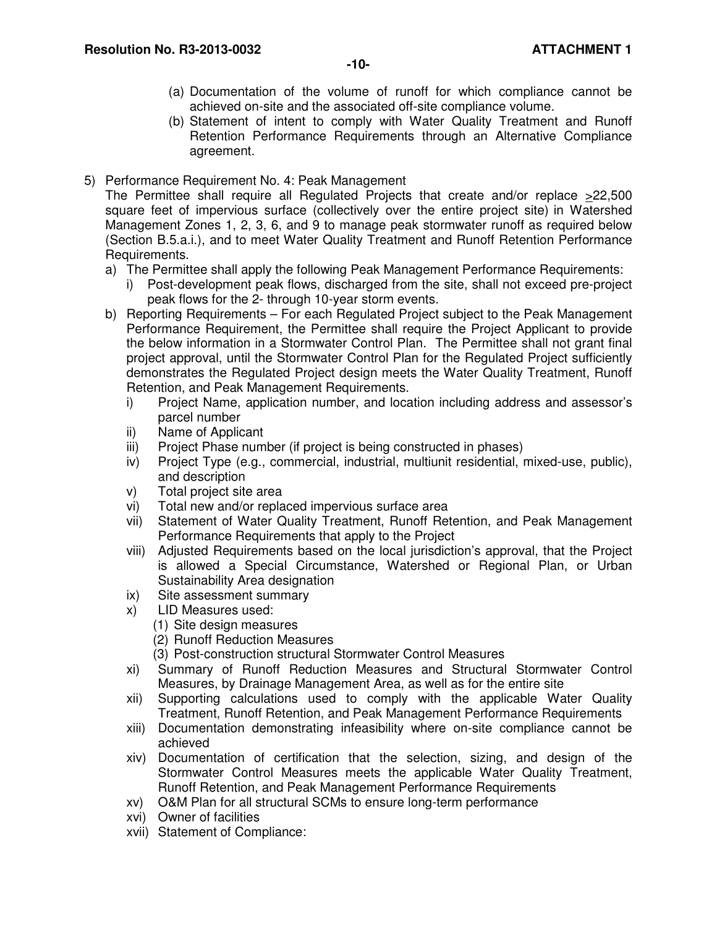- (a) Documentation of the volume of runoff for which compliance cannot be achieved on-site and the associated off-site compliance volume.
- (b) Statement of intent to comply with Water Quality Treatment and Runoff Retention Performance Requirements through an Alternative Compliance agreement.
- 5) Performance Requirement No. 4: Peak Management

The Permittee shall require all Regulated Projects that create and/or replace >22,500 square feet of impervious surface (collectively over the entire project site) in Watershed Management Zones 1, 2, 3, 6, and 9 to manage peak stormwater runoff as required below (Section B.5.a.i.), and to meet Water Quality Treatment and Runoff Retention Performance Requirements.

- a) The Permittee shall apply the following Peak Management Performance Requirements:
	- i) Post-development peak flows, discharged from the site, shall not exceed pre-project peak flows for the 2- through 10-year storm events.
- b) Reporting Requirements For each Regulated Project subject to the Peak Management Performance Requirement, the Permittee shall require the Project Applicant to provide the below information in a Stormwater Control Plan. The Permittee shall not grant final project approval, until the Stormwater Control Plan for the Regulated Project sufficiently demonstrates the Regulated Project design meets the Water Quality Treatment, Runoff Retention, and Peak Management Requirements.
	- i) Project Name, application number, and location including address and assessor's parcel number
	- ii) Name of Applicant
	- iii) Project Phase number (if project is being constructed in phases)
	- iv) Project Type (e.g., commercial, industrial, multiunit residential, mixed-use, public), and description
	- v) Total project site area
	- vi) Total new and/or replaced impervious surface area
	- vii) Statement of Water Quality Treatment, Runoff Retention, and Peak Management Performance Requirements that apply to the Project
	- viii) Adjusted Requirements based on the local jurisdiction's approval, that the Project is allowed a Special Circumstance, Watershed or Regional Plan, or Urban Sustainability Area designation
	- ix) Site assessment summary
	- x) LID Measures used:
		- (1) Site design measures
		- (2) Runoff Reduction Measures
		- (3) Post-construction structural Stormwater Control Measures
	- xi) Summary of Runoff Reduction Measures and Structural Stormwater Control Measures, by Drainage Management Area, as well as for the entire site
	- xii) Supporting calculations used to comply with the applicable Water Quality Treatment, Runoff Retention, and Peak Management Performance Requirements
	- xiii) Documentation demonstrating infeasibility where on-site compliance cannot be achieved
	- xiv) Documentation of certification that the selection, sizing, and design of the Stormwater Control Measures meets the applicable Water Quality Treatment, Runoff Retention, and Peak Management Performance Requirements
	- xv) O&M Plan for all structural SCMs to ensure long-term performance
	- xvi) Owner of facilities
	- xvii) Statement of Compliance: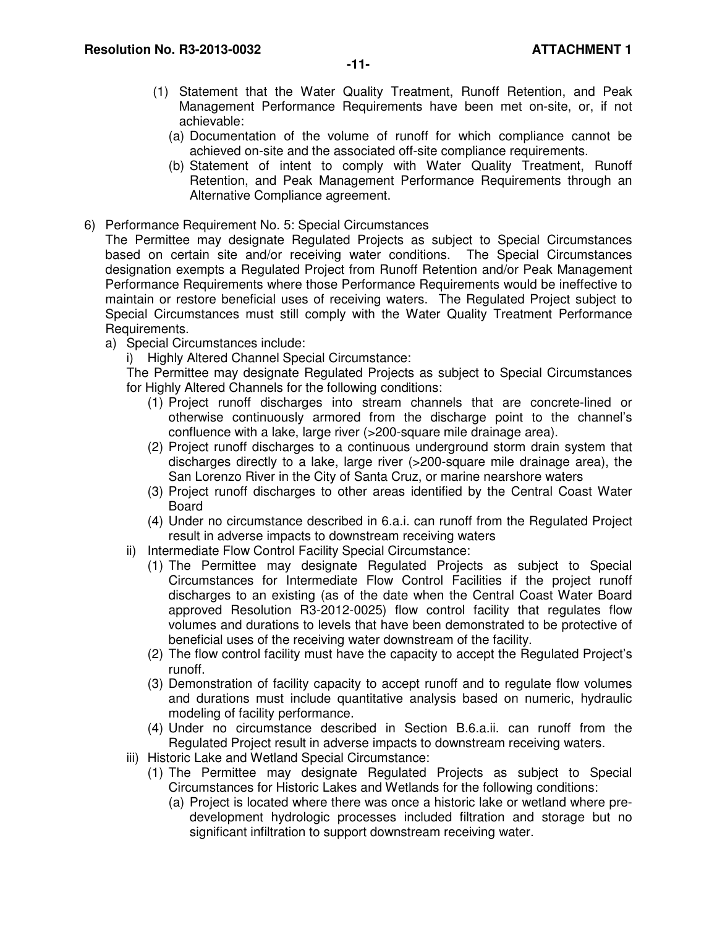- (a) Documentation of the volume of runoff for which compliance cannot be achieved on-site and the associated off-site compliance requirements.
- (b) Statement of intent to comply with Water Quality Treatment, Runoff Retention, and Peak Management Performance Requirements through an Alternative Compliance agreement.
- 6) Performance Requirement No. 5: Special Circumstances

The Permittee may designate Regulated Projects as subject to Special Circumstances based on certain site and/or receiving water conditions. The Special Circumstances designation exempts a Regulated Project from Runoff Retention and/or Peak Management Performance Requirements where those Performance Requirements would be ineffective to maintain or restore beneficial uses of receiving waters. The Regulated Project subject to Special Circumstances must still comply with the Water Quality Treatment Performance Requirements.

- a) Special Circumstances include:
	- i) Highly Altered Channel Special Circumstance:

The Permittee may designate Regulated Projects as subject to Special Circumstances for Highly Altered Channels for the following conditions:

- (1) Project runoff discharges into stream channels that are concrete-lined or otherwise continuously armored from the discharge point to the channel's confluence with a lake, large river (>200-square mile drainage area).
- (2) Project runoff discharges to a continuous underground storm drain system that discharges directly to a lake, large river (>200-square mile drainage area), the San Lorenzo River in the City of Santa Cruz, or marine nearshore waters
- (3) Project runoff discharges to other areas identified by the Central Coast Water Board
- (4) Under no circumstance described in 6.a.i. can runoff from the Regulated Project result in adverse impacts to downstream receiving waters
- ii) Intermediate Flow Control Facility Special Circumstance:
	- (1) The Permittee may designate Regulated Projects as subject to Special Circumstances for Intermediate Flow Control Facilities if the project runoff discharges to an existing (as of the date when the Central Coast Water Board approved Resolution R3-2012-0025) flow control facility that regulates flow volumes and durations to levels that have been demonstrated to be protective of beneficial uses of the receiving water downstream of the facility.
	- (2) The flow control facility must have the capacity to accept the Regulated Project's runoff.
	- (3) Demonstration of facility capacity to accept runoff and to regulate flow volumes and durations must include quantitative analysis based on numeric, hydraulic modeling of facility performance.
	- (4) Under no circumstance described in Section B.6.a.ii. can runoff from the Regulated Project result in adverse impacts to downstream receiving waters.
- iii) Historic Lake and Wetland Special Circumstance:
	- (1) The Permittee may designate Regulated Projects as subject to Special Circumstances for Historic Lakes and Wetlands for the following conditions:
		- (a) Project is located where there was once a historic lake or wetland where predevelopment hydrologic processes included filtration and storage but no significant infiltration to support downstream receiving water.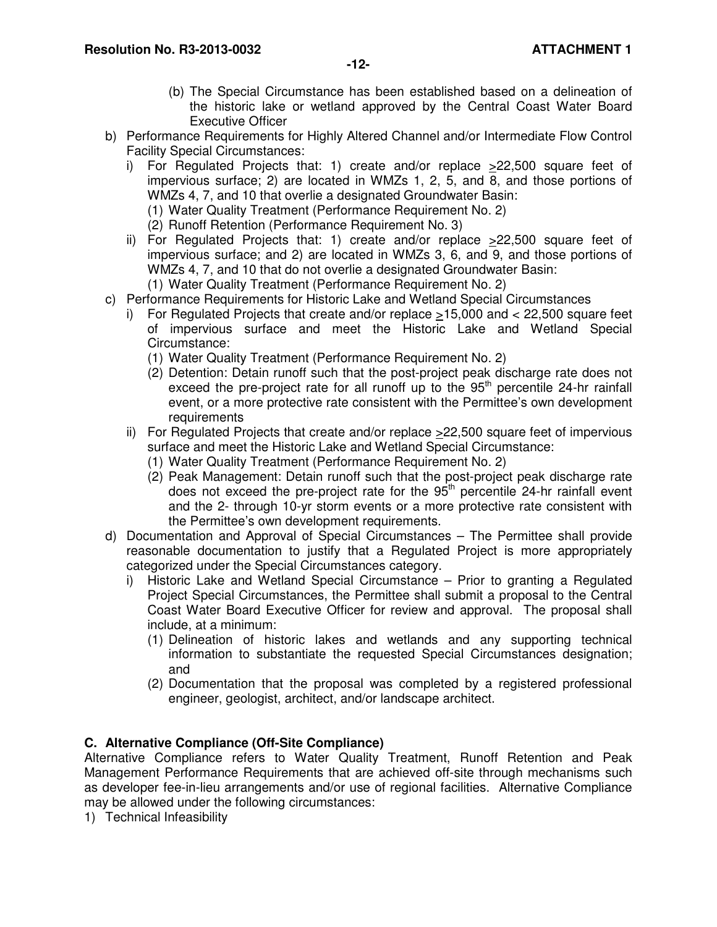- (b) The Special Circumstance has been established based on a delineation of the historic lake or wetland approved by the Central Coast Water Board Executive Officer
- b) Performance Requirements for Highly Altered Channel and/or Intermediate Flow Control Facility Special Circumstances:
	- i) For Regulated Projects that: 1) create and/or replace >22,500 square feet of impervious surface; 2) are located in WMZs 1, 2, 5, and 8, and those portions of WMZs 4, 7, and 10 that overlie a designated Groundwater Basin:
		- (1) Water Quality Treatment (Performance Requirement No. 2)
		- (2) Runoff Retention (Performance Requirement No. 3)
	- ii) For Regulated Projects that: 1) create and/or replace >22,500 square feet of impervious surface; and 2) are located in WMZs 3, 6, and 9, and those portions of WMZs 4, 7, and 10 that do not overlie a designated Groundwater Basin: (1) Water Quality Treatment (Performance Requirement No. 2)
- c) Performance Requirements for Historic Lake and Wetland Special Circumstances
	- i) For Regulated Projects that create and/or replace >15,000 and < 22,500 square feet of impervious surface and meet the Historic Lake and Wetland Special Circumstance:
		- (1) Water Quality Treatment (Performance Requirement No. 2)
		- (2) Detention: Detain runoff such that the post-project peak discharge rate does not exceed the pre-project rate for all runoff up to the  $95<sup>th</sup>$  percentile 24-hr rainfall event, or a more protective rate consistent with the Permittee's own development requirements
	- ii) For Regulated Projects that create and/or replace >22,500 square feet of impervious surface and meet the Historic Lake and Wetland Special Circumstance:
		- (1) Water Quality Treatment (Performance Requirement No. 2)
		- (2) Peak Management: Detain runoff such that the post-project peak discharge rate does not exceed the pre-project rate for the  $95<sup>th</sup>$  percentile 24-hr rainfall event and the 2- through 10-yr storm events or a more protective rate consistent with the Permittee's own development requirements.
- d) Documentation and Approval of Special Circumstances The Permittee shall provide reasonable documentation to justify that a Regulated Project is more appropriately categorized under the Special Circumstances category.
	- i) Historic Lake and Wetland Special Circumstance Prior to granting a Regulated Project Special Circumstances, the Permittee shall submit a proposal to the Central Coast Water Board Executive Officer for review and approval. The proposal shall include, at a minimum:
		- (1) Delineation of historic lakes and wetlands and any supporting technical information to substantiate the requested Special Circumstances designation; and
		- (2) Documentation that the proposal was completed by a registered professional engineer, geologist, architect, and/or landscape architect.

# **C. Alternative Compliance (Off-Site Compliance)**

Alternative Compliance refers to Water Quality Treatment, Runoff Retention and Peak Management Performance Requirements that are achieved off-site through mechanisms such as developer fee-in-lieu arrangements and/or use of regional facilities. Alternative Compliance may be allowed under the following circumstances:

1) Technical Infeasibility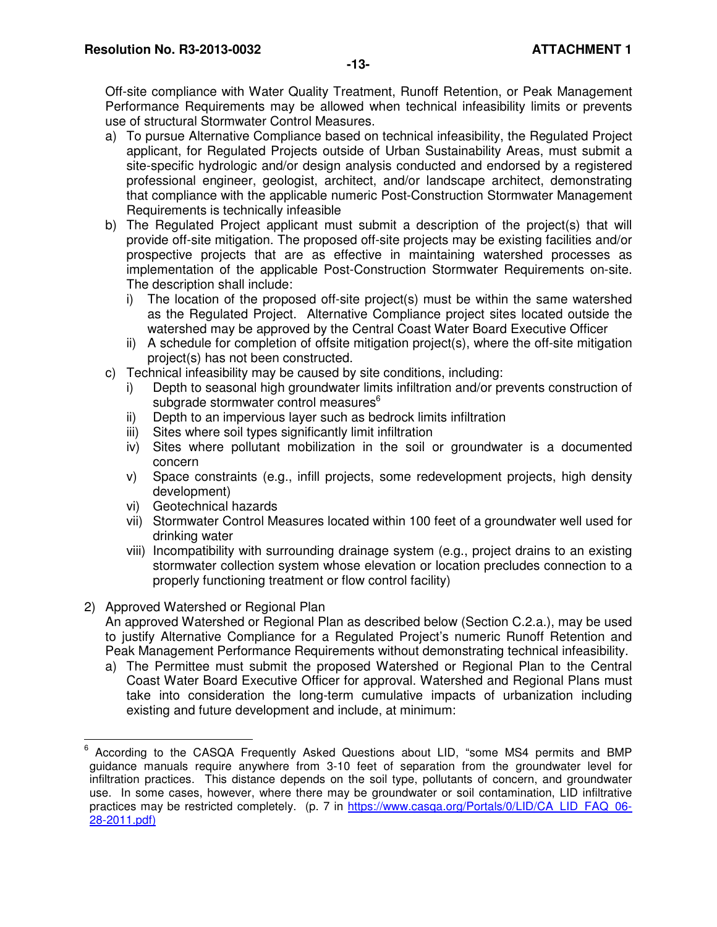Off-site compliance with Water Quality Treatment, Runoff Retention, or Peak Management Performance Requirements may be allowed when technical infeasibility limits or prevents use of structural Stormwater Control Measures.

- a) To pursue Alternative Compliance based on technical infeasibility, the Regulated Project applicant, for Regulated Projects outside of Urban Sustainability Areas, must submit a site-specific hydrologic and/or design analysis conducted and endorsed by a registered professional engineer, geologist, architect, and/or landscape architect, demonstrating that compliance with the applicable numeric Post-Construction Stormwater Management Requirements is technically infeasible
- b) The Regulated Project applicant must submit a description of the project(s) that will provide off-site mitigation. The proposed off-site projects may be existing facilities and/or prospective projects that are as effective in maintaining watershed processes as implementation of the applicable Post-Construction Stormwater Requirements on-site. The description shall include:
	- i) The location of the proposed off-site project(s) must be within the same watershed as the Regulated Project. Alternative Compliance project sites located outside the watershed may be approved by the Central Coast Water Board Executive Officer
	- ii) A schedule for completion of offsite mitigation project(s), where the off-site mitigation project(s) has not been constructed.
- c) Technical infeasibility may be caused by site conditions, including:
	- i) Depth to seasonal high groundwater limits infiltration and/or prevents construction of subgrade stormwater control measures<sup>6</sup>
	- ii) Depth to an impervious layer such as bedrock limits infiltration
	- iii) Sites where soil types significantly limit infiltration
	- iv) Sites where pollutant mobilization in the soil or groundwater is a documented concern
	- v) Space constraints (e.g., infill projects, some redevelopment projects, high density development)
	- vi) Geotechnical hazards
	- vii) Stormwater Control Measures located within 100 feet of a groundwater well used for drinking water
	- viii) Incompatibility with surrounding drainage system (e.g., project drains to an existing stormwater collection system whose elevation or location precludes connection to a properly functioning treatment or flow control facility)

## 2) Approved Watershed or Regional Plan

An approved Watershed or Regional Plan as described below (Section C.2.a.), may be used to justify Alternative Compliance for a Regulated Project's numeric Runoff Retention and Peak Management Performance Requirements without demonstrating technical infeasibility.

a) The Permittee must submit the proposed Watershed or Regional Plan to the Central Coast Water Board Executive Officer for approval. Watershed and Regional Plans must take into consideration the long-term cumulative impacts of urbanization including existing and future development and include, at minimum:

 $\overline{a}$ 6 According to the CASQA Frequently Asked Questions about LID, "some MS4 permits and BMP guidance manuals require anywhere from 3-10 feet of separation from the groundwater level for infiltration practices. This distance depends on the soil type, pollutants of concern, and groundwater use. In some cases, however, where there may be groundwater or soil contamination, LID infiltrative practices may be restricted completely. (p. 7 in https://www.casqa.org/Portals/0/LID/CA\_LID\_FAQ\_06- 28-2011.pdf)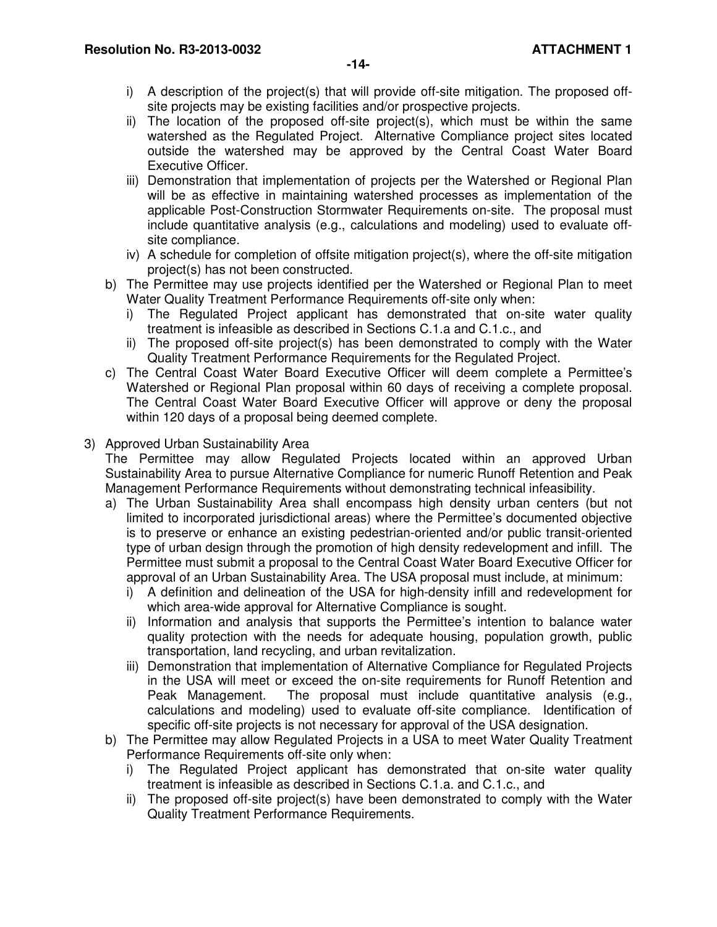- i) A description of the project(s) that will provide off-site mitigation. The proposed offsite projects may be existing facilities and/or prospective projects.
- ii) The location of the proposed off-site project(s), which must be within the same watershed as the Regulated Project. Alternative Compliance project sites located outside the watershed may be approved by the Central Coast Water Board Executive Officer.
- iii) Demonstration that implementation of projects per the Watershed or Regional Plan will be as effective in maintaining watershed processes as implementation of the applicable Post-Construction Stormwater Requirements on-site. The proposal must include quantitative analysis (e.g., calculations and modeling) used to evaluate offsite compliance.
- iv) A schedule for completion of offsite mitigation project(s), where the off-site mitigation project(s) has not been constructed.
- b) The Permittee may use projects identified per the Watershed or Regional Plan to meet Water Quality Treatment Performance Requirements off-site only when:
	- i) The Regulated Project applicant has demonstrated that on-site water quality treatment is infeasible as described in Sections C.1.a and C.1.c., and
	- ii) The proposed off-site project(s) has been demonstrated to comply with the Water Quality Treatment Performance Requirements for the Regulated Project.
- c) The Central Coast Water Board Executive Officer will deem complete a Permittee's Watershed or Regional Plan proposal within 60 days of receiving a complete proposal. The Central Coast Water Board Executive Officer will approve or deny the proposal within 120 days of a proposal being deemed complete.

# 3) Approved Urban Sustainability Area

The Permittee may allow Regulated Projects located within an approved Urban Sustainability Area to pursue Alternative Compliance for numeric Runoff Retention and Peak Management Performance Requirements without demonstrating technical infeasibility.

- a) The Urban Sustainability Area shall encompass high density urban centers (but not limited to incorporated jurisdictional areas) where the Permittee's documented objective is to preserve or enhance an existing pedestrian-oriented and/or public transit-oriented type of urban design through the promotion of high density redevelopment and infill. The Permittee must submit a proposal to the Central Coast Water Board Executive Officer for approval of an Urban Sustainability Area. The USA proposal must include, at minimum:
	- i) A definition and delineation of the USA for high-density infill and redevelopment for which area-wide approval for Alternative Compliance is sought.
	- ii) Information and analysis that supports the Permittee's intention to balance water quality protection with the needs for adequate housing, population growth, public transportation, land recycling, and urban revitalization.
	- iii) Demonstration that implementation of Alternative Compliance for Regulated Projects in the USA will meet or exceed the on-site requirements for Runoff Retention and Peak Management. The proposal must include quantitative analysis (e.g., calculations and modeling) used to evaluate off-site compliance. Identification of specific off-site projects is not necessary for approval of the USA designation.
- b) The Permittee may allow Regulated Projects in a USA to meet Water Quality Treatment Performance Requirements off-site only when:
	- i) The Regulated Project applicant has demonstrated that on-site water quality treatment is infeasible as described in Sections C.1.a. and C.1.c., and
	- ii) The proposed off-site project(s) have been demonstrated to comply with the Water Quality Treatment Performance Requirements.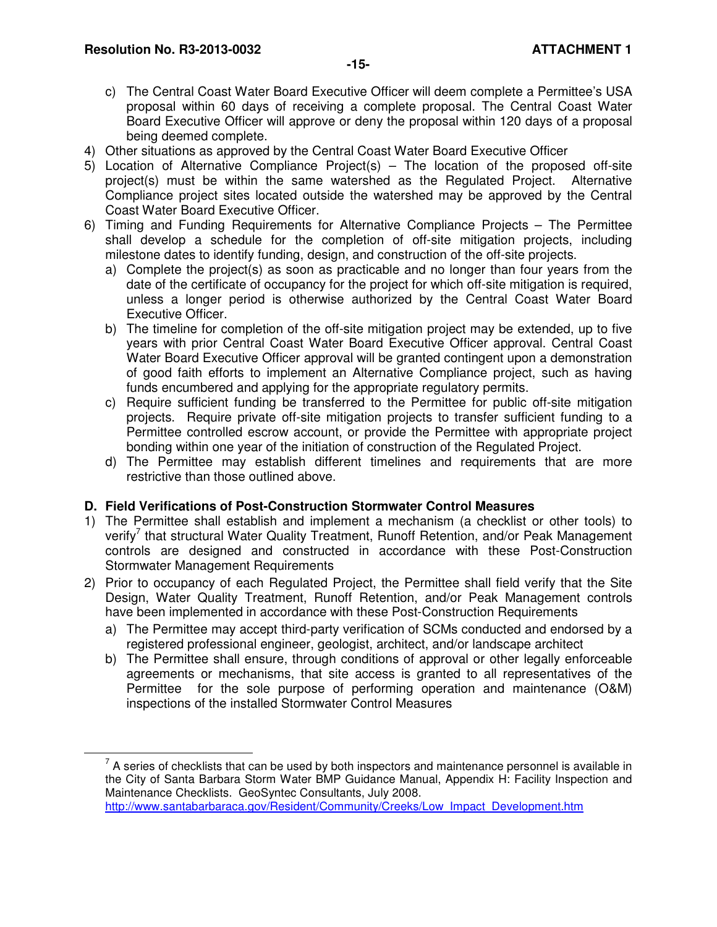$\overline{a}$ 

- c) The Central Coast Water Board Executive Officer will deem complete a Permittee's USA proposal within 60 days of receiving a complete proposal. The Central Coast Water Board Executive Officer will approve or deny the proposal within 120 days of a proposal being deemed complete.
- 4) Other situations as approved by the Central Coast Water Board Executive Officer
- 5) Location of Alternative Compliance Project(s) The location of the proposed off-site project(s) must be within the same watershed as the Regulated Project. Alternative Compliance project sites located outside the watershed may be approved by the Central Coast Water Board Executive Officer.
- 6) Timing and Funding Requirements for Alternative Compliance Projects The Permittee shall develop a schedule for the completion of off-site mitigation projects, including milestone dates to identify funding, design, and construction of the off-site projects.
	- a) Complete the project(s) as soon as practicable and no longer than four years from the date of the certificate of occupancy for the project for which off-site mitigation is required, unless a longer period is otherwise authorized by the Central Coast Water Board Executive Officer.
	- b) The timeline for completion of the off-site mitigation project may be extended, up to five years with prior Central Coast Water Board Executive Officer approval. Central Coast Water Board Executive Officer approval will be granted contingent upon a demonstration of good faith efforts to implement an Alternative Compliance project, such as having funds encumbered and applying for the appropriate regulatory permits.
	- c) Require sufficient funding be transferred to the Permittee for public off-site mitigation projects. Require private off-site mitigation projects to transfer sufficient funding to a Permittee controlled escrow account, or provide the Permittee with appropriate project bonding within one year of the initiation of construction of the Regulated Project.
	- d) The Permittee may establish different timelines and requirements that are more restrictive than those outlined above.

## **D. Field Verifications of Post-Construction Stormwater Control Measures**

- 1) The Permittee shall establish and implement a mechanism (a checklist or other tools) to verify<sup>7</sup> that structural Water Quality Treatment, Runoff Retention, and/or Peak Management controls are designed and constructed in accordance with these Post-Construction Stormwater Management Requirements
- 2) Prior to occupancy of each Regulated Project, the Permittee shall field verify that the Site Design, Water Quality Treatment, Runoff Retention, and/or Peak Management controls have been implemented in accordance with these Post-Construction Requirements
	- a) The Permittee may accept third-party verification of SCMs conducted and endorsed by a registered professional engineer, geologist, architect, and/or landscape architect
	- b) The Permittee shall ensure, through conditions of approval or other legally enforceable agreements or mechanisms, that site access is granted to all representatives of the Permittee for the sole purpose of performing operation and maintenance (O&M) inspections of the installed Stormwater Control Measures

 $7$  A series of checklists that can be used by both inspectors and maintenance personnel is available in the City of Santa Barbara Storm Water BMP Guidance Manual, Appendix H: Facility Inspection and Maintenance Checklists. GeoSyntec Consultants, July 2008. http://www.santabarbaraca.gov/Resident/Community/Creeks/Low\_Impact\_Development.htm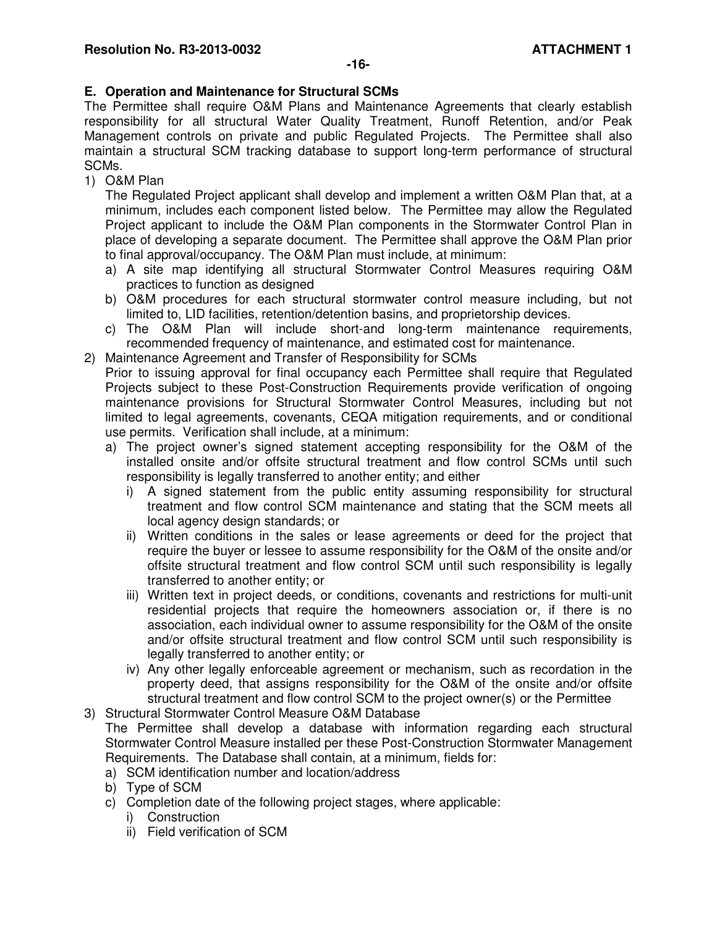# **E. Operation and Maintenance for Structural SCMs**

The Permittee shall require O&M Plans and Maintenance Agreements that clearly establish responsibility for all structural Water Quality Treatment, Runoff Retention, and/or Peak Management controls on private and public Regulated Projects. The Permittee shall also maintain a structural SCM tracking database to support long-term performance of structural SCMs.

1) O&M Plan

The Regulated Project applicant shall develop and implement a written O&M Plan that, at a minimum, includes each component listed below. The Permittee may allow the Regulated Project applicant to include the O&M Plan components in the Stormwater Control Plan in place of developing a separate document. The Permittee shall approve the O&M Plan prior to final approval/occupancy. The O&M Plan must include, at minimum:

- a) A site map identifying all structural Stormwater Control Measures requiring O&M practices to function as designed
- b) O&M procedures for each structural stormwater control measure including, but not limited to, LID facilities, retention/detention basins, and proprietorship devices.
- c) The O&M Plan will include short-and long-term maintenance requirements, recommended frequency of maintenance, and estimated cost for maintenance.
- 2) Maintenance Agreement and Transfer of Responsibility for SCMs

Prior to issuing approval for final occupancy each Permittee shall require that Regulated Projects subject to these Post-Construction Requirements provide verification of ongoing maintenance provisions for Structural Stormwater Control Measures, including but not limited to legal agreements, covenants, CEQA mitigation requirements, and or conditional use permits. Verification shall include, at a minimum:

- a) The project owner's signed statement accepting responsibility for the O&M of the installed onsite and/or offsite structural treatment and flow control SCMs until such responsibility is legally transferred to another entity; and either
	- i) A signed statement from the public entity assuming responsibility for structural treatment and flow control SCM maintenance and stating that the SCM meets all local agency design standards; or
	- ii) Written conditions in the sales or lease agreements or deed for the project that require the buyer or lessee to assume responsibility for the O&M of the onsite and/or offsite structural treatment and flow control SCM until such responsibility is legally transferred to another entity; or
	- iii) Written text in project deeds, or conditions, covenants and restrictions for multi-unit residential projects that require the homeowners association or, if there is no association, each individual owner to assume responsibility for the O&M of the onsite and/or offsite structural treatment and flow control SCM until such responsibility is legally transferred to another entity; or
	- iv) Any other legally enforceable agreement or mechanism, such as recordation in the property deed, that assigns responsibility for the O&M of the onsite and/or offsite structural treatment and flow control SCM to the project owner(s) or the Permittee
- 3) Structural Stormwater Control Measure O&M Database The Permittee shall develop a database with information regarding each structural

Stormwater Control Measure installed per these Post-Construction Stormwater Management Requirements. The Database shall contain, at a minimum, fields for:

- a) SCM identification number and location/address
- b) Type of SCM
- c) Completion date of the following project stages, where applicable:
	- i) Construction
	- ii) Field verification of SCM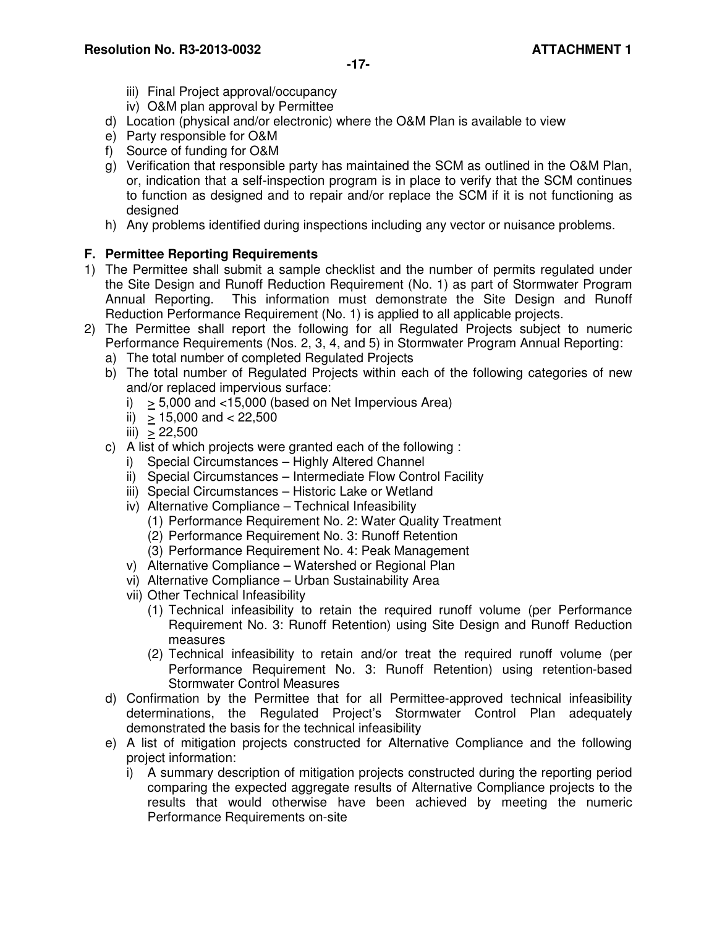- iii) Final Project approval/occupancy
- iv) O&M plan approval by Permittee
- d) Location (physical and/or electronic) where the O&M Plan is available to view
- e) Party responsible for O&M
- f) Source of funding for O&M
- g) Verification that responsible party has maintained the SCM as outlined in the O&M Plan, or, indication that a self-inspection program is in place to verify that the SCM continues to function as designed and to repair and/or replace the SCM if it is not functioning as designed
- h) Any problems identified during inspections including any vector or nuisance problems.

#### **F. Permittee Reporting Requirements**

- 1) The Permittee shall submit a sample checklist and the number of permits regulated under the Site Design and Runoff Reduction Requirement (No. 1) as part of Stormwater Program Annual Reporting. This information must demonstrate the Site Design and Runoff Reduction Performance Requirement (No. 1) is applied to all applicable projects.
- 2) The Permittee shall report the following for all Regulated Projects subject to numeric Performance Requirements (Nos. 2, 3, 4, and 5) in Stormwater Program Annual Reporting:
	- a) The total number of completed Regulated Projects
	- b) The total number of Regulated Projects within each of the following categories of new and/or replaced impervious surface:
		- i)  $> 5,000$  and  $< 15,000$  (based on Net Impervious Area)
		- ii)  $\geq$  15,000 and < 22,500
		- $iii) > 22,500$
	- c) A list of which projects were granted each of the following :
		- i) Special Circumstances Highly Altered Channel
		- ii) Special Circumstances Intermediate Flow Control Facility
		- iii) Special Circumstances Historic Lake or Wetland
		- iv) Alternative Compliance Technical Infeasibility
			- (1) Performance Requirement No. 2: Water Quality Treatment
			- (2) Performance Requirement No. 3: Runoff Retention
			- (3) Performance Requirement No. 4: Peak Management
		- v) Alternative Compliance Watershed or Regional Plan
		- vi) Alternative Compliance Urban Sustainability Area
		- vii) Other Technical Infeasibility
			- (1) Technical infeasibility to retain the required runoff volume (per Performance Requirement No. 3: Runoff Retention) using Site Design and Runoff Reduction measures
			- (2) Technical infeasibility to retain and/or treat the required runoff volume (per Performance Requirement No. 3: Runoff Retention) using retention-based Stormwater Control Measures
	- d) Confirmation by the Permittee that for all Permittee-approved technical infeasibility determinations, the Regulated Project's Stormwater Control Plan adequately demonstrated the basis for the technical infeasibility
	- e) A list of mitigation projects constructed for Alternative Compliance and the following project information:
		- i) A summary description of mitigation projects constructed during the reporting period comparing the expected aggregate results of Alternative Compliance projects to the results that would otherwise have been achieved by meeting the numeric Performance Requirements on-site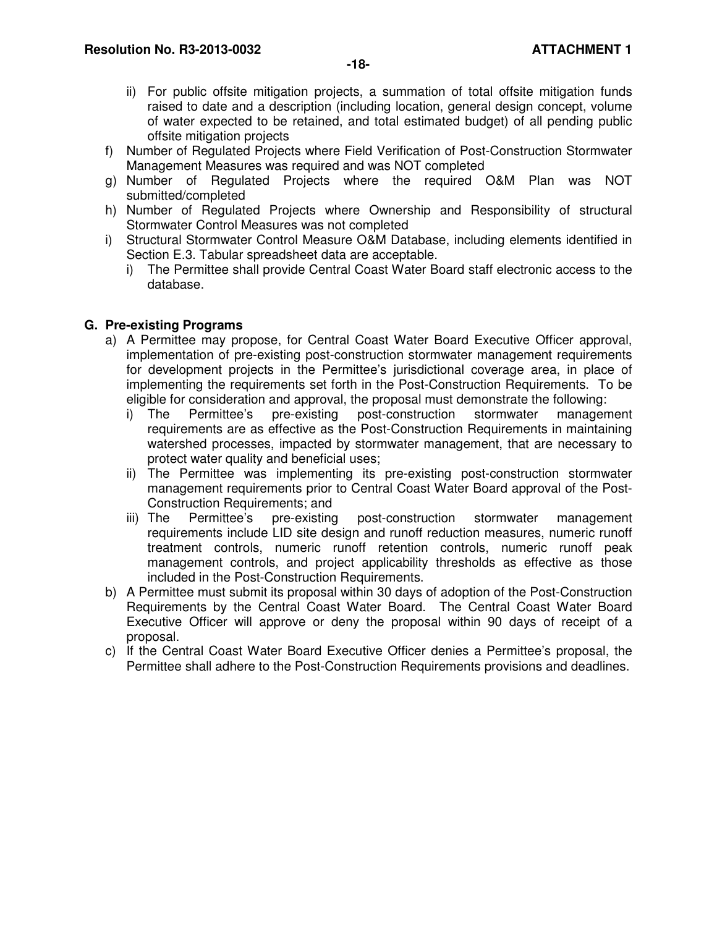- ii) For public offsite mitigation projects, a summation of total offsite mitigation funds raised to date and a description (including location, general design concept, volume of water expected to be retained, and total estimated budget) of all pending public offsite mitigation projects
- f) Number of Regulated Projects where Field Verification of Post-Construction Stormwater Management Measures was required and was NOT completed
- g) Number of Regulated Projects where the required O&M Plan was NOT submitted/completed
- h) Number of Regulated Projects where Ownership and Responsibility of structural Stormwater Control Measures was not completed
- i) Structural Stormwater Control Measure O&M Database, including elements identified in Section E.3. Tabular spreadsheet data are acceptable.
	- i) The Permittee shall provide Central Coast Water Board staff electronic access to the database.

# **G. Pre-existing Programs**

- a) A Permittee may propose, for Central Coast Water Board Executive Officer approval, implementation of pre-existing post-construction stormwater management requirements for development projects in the Permittee's jurisdictional coverage area, in place of implementing the requirements set forth in the Post-Construction Requirements. To be eligible for consideration and approval, the proposal must demonstrate the following:
	- i) The Permittee's pre-existing post-construction stormwater management requirements are as effective as the Post-Construction Requirements in maintaining watershed processes, impacted by stormwater management, that are necessary to protect water quality and beneficial uses;
	- ii) The Permittee was implementing its pre-existing post-construction stormwater management requirements prior to Central Coast Water Board approval of the Post-Construction Requirements; and
	- iii) The Permittee's pre-existing post-construction stormwater management requirements include LID site design and runoff reduction measures, numeric runoff treatment controls, numeric runoff retention controls, numeric runoff peak management controls, and project applicability thresholds as effective as those included in the Post-Construction Requirements.
- b) A Permittee must submit its proposal within 30 days of adoption of the Post-Construction Requirements by the Central Coast Water Board. The Central Coast Water Board Executive Officer will approve or deny the proposal within 90 days of receipt of a proposal.
- c) If the Central Coast Water Board Executive Officer denies a Permittee's proposal, the Permittee shall adhere to the Post-Construction Requirements provisions and deadlines.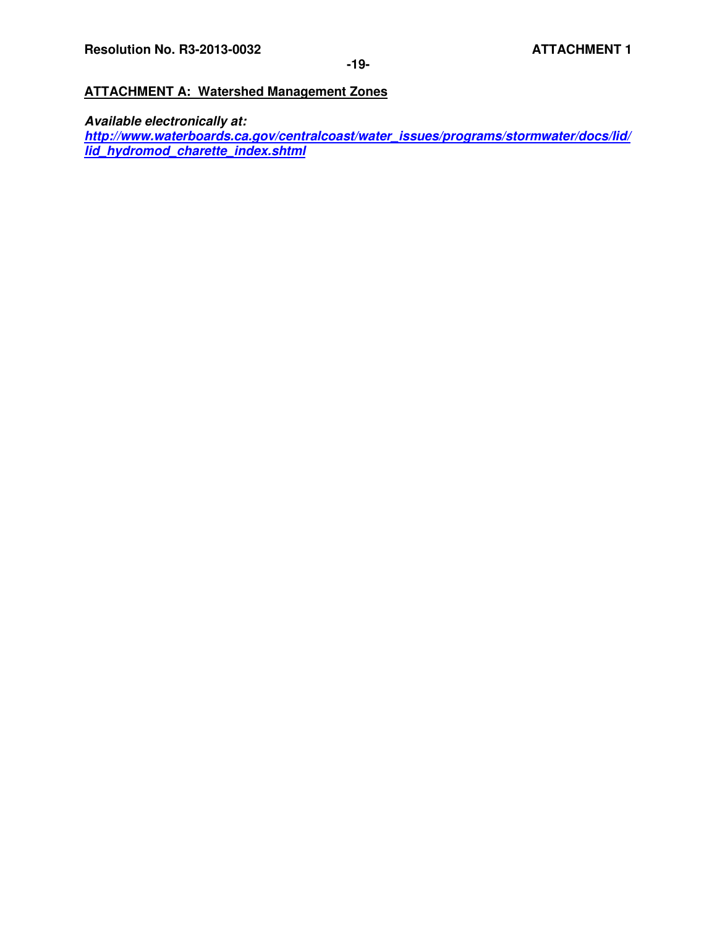# **ATTACHMENT A: Watershed Management Zones**

**Available electronically at: http://www.waterboards.ca.gov/centralcoast/water\_issues/programs/stormwater/docs/lid/ lid\_hydromod\_charette\_index.shtml**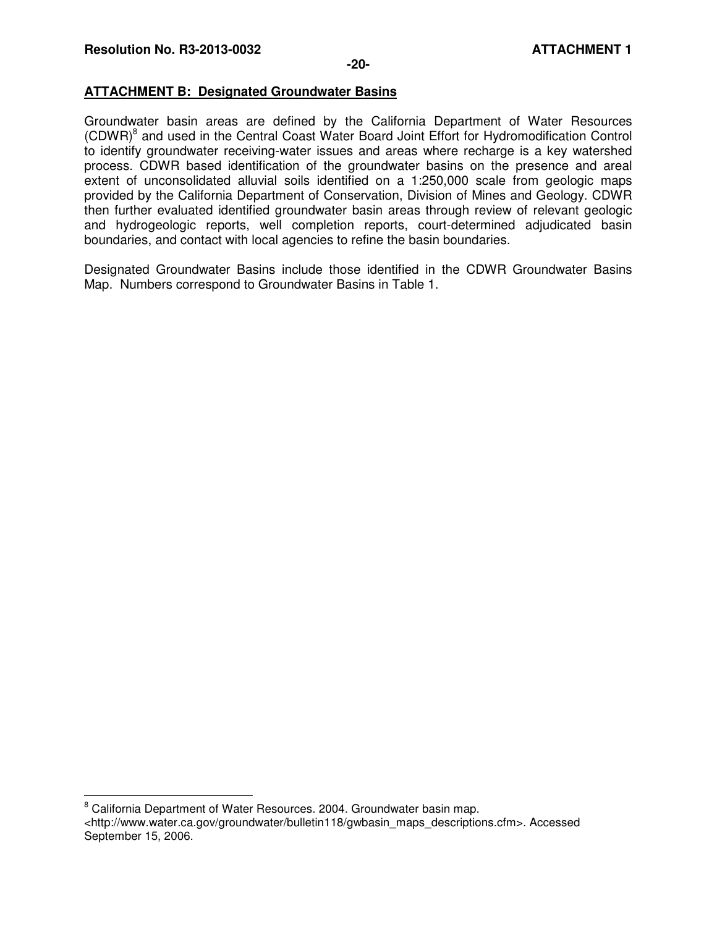$\overline{a}$ 

# **ATTACHMENT B: Designated Groundwater Basins**

Groundwater basin areas are defined by the California Department of Water Resources (CDWR)<sup>8</sup> and used in the Central Coast Water Board Joint Effort for Hydromodification Control to identify groundwater receiving-water issues and areas where recharge is a key watershed process. CDWR based identification of the groundwater basins on the presence and areal extent of unconsolidated alluvial soils identified on a 1:250,000 scale from geologic maps provided by the California Department of Conservation, Division of Mines and Geology. CDWR then further evaluated identified groundwater basin areas through review of relevant geologic and hydrogeologic reports, well completion reports, court-determined adjudicated basin boundaries, and contact with local agencies to refine the basin boundaries.

Designated Groundwater Basins include those identified in the CDWR Groundwater Basins Map. Numbers correspond to Groundwater Basins in Table 1.

<sup>&</sup>lt;sup>8</sup> California Department of Water Resources. 2004. Groundwater basin map. <http://www.water.ca.gov/groundwater/bulletin118/gwbasin\_maps\_descriptions.cfm>. Accessed September 15, 2006.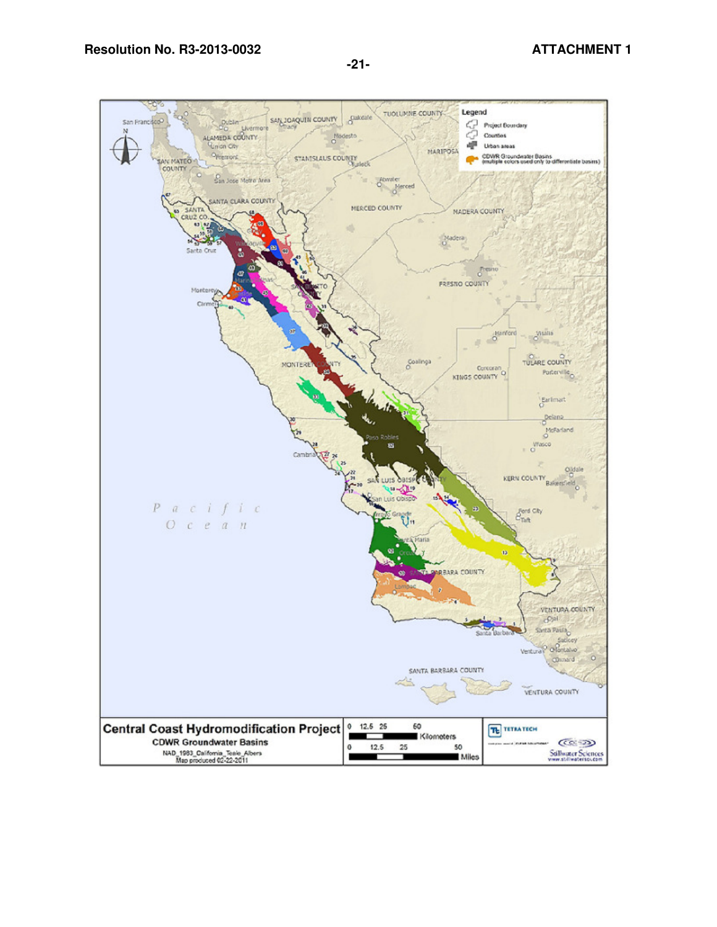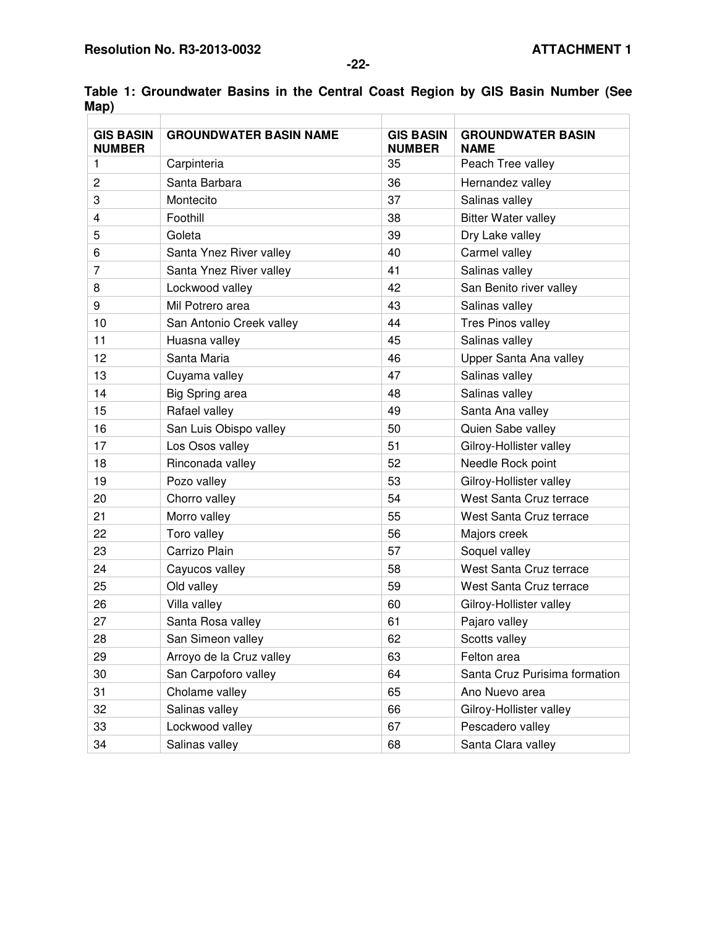| <b>GIS BASIN</b><br><b>NUMBER</b> | <b>GROUNDWATER BASIN NAME</b> | <b>GIS BASIN</b><br><b>NUMBER</b> | <b>GROUNDWATER BASIN</b><br><b>NAME</b> |
|-----------------------------------|-------------------------------|-----------------------------------|-----------------------------------------|
| 1.                                | Carpinteria                   | 35                                | Peach Tree valley                       |
| $\overline{c}$                    | Santa Barbara                 | 36                                | Hernandez valley                        |
| 3                                 | Montecito                     | 37                                | Salinas valley                          |
| 4                                 | Foothill                      | 38                                | <b>Bitter Water valley</b>              |
| 5                                 | Goleta                        | 39                                | Dry Lake valley                         |
| 6                                 | Santa Ynez River valley       | 40                                | Carmel valley                           |
| 7                                 | Santa Ynez River valley       | 41                                | Salinas valley                          |
| 8                                 | Lockwood valley               | 42                                | San Benito river valley                 |
| 9                                 | Mil Potrero area              | 43                                | Salinas valley                          |
| 10                                | San Antonio Creek valley      | 44                                | Tres Pinos valley                       |
| 11                                | Huasna valley                 | 45                                | Salinas valley                          |
| 12                                | Santa Maria                   | 46                                | Upper Santa Ana valley                  |
| 13                                | Cuyama valley                 | 47                                | Salinas valley                          |
| 14                                | Big Spring area               | 48                                | Salinas valley                          |
| 15                                | Rafael valley                 | 49                                | Santa Ana valley                        |
| 16                                | San Luis Obispo valley        | 50                                | Quien Sabe valley                       |
| 17                                | Los Osos valley               | 51                                | Gilroy-Hollister valley                 |
| 18                                | Rinconada valley              | 52                                | Needle Rock point                       |
| 19                                | Pozo valley                   | 53                                | Gilroy-Hollister valley                 |
| 20                                | Chorro valley                 | 54                                | West Santa Cruz terrace                 |
| 21                                | Morro valley                  | 55                                | West Santa Cruz terrace                 |
| 22                                | Toro valley                   | 56                                | Majors creek                            |
| 23                                | Carrizo Plain                 | 57                                | Soquel valley                           |
| 24                                | Cayucos valley                | 58                                | West Santa Cruz terrace                 |
| 25                                | Old valley                    | 59                                | West Santa Cruz terrace                 |
| 26                                | Villa valley                  | 60                                | Gilroy-Hollister valley                 |
| 27                                | Santa Rosa valley             | 61                                | Pajaro valley                           |
| 28                                | San Simeon valley             | 62                                | Scotts valley                           |
| 29                                | Arroyo de la Cruz valley      | 63                                | Felton area                             |
| 30                                | San Carpoforo valley          | 64                                | Santa Cruz Purisima formation           |
| 31                                | Cholame valley                | 65                                | Ano Nuevo area                          |
| 32                                | Salinas valley                | 66                                | Gilroy-Hollister valley                 |
| 33                                | Lockwood valley               | 67                                | Pescadero valley                        |
| 34                                | Salinas valley                | 68                                | Santa Clara valley                      |

**Table 1: Groundwater Basins in the Central Coast Region by GIS Basin Number (See Map)**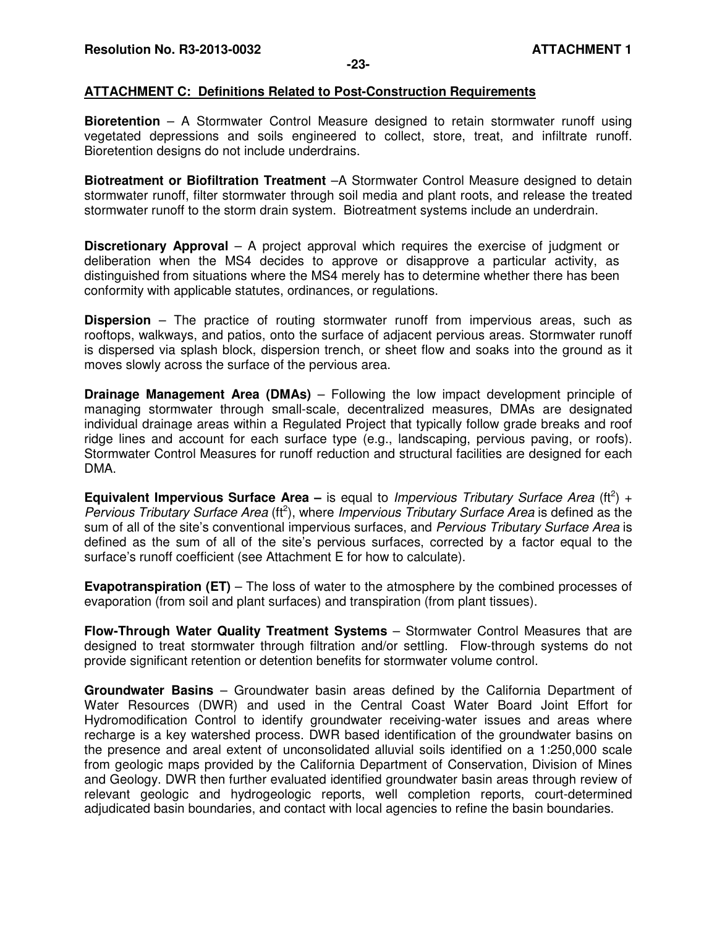#### **ATTACHMENT C: Definitions Related to Post-Construction Requirements**

**Bioretention** – A Stormwater Control Measure designed to retain stormwater runoff using vegetated depressions and soils engineered to collect, store, treat, and infiltrate runoff. Bioretention designs do not include underdrains.

**Biotreatment or Biofiltration Treatment** –A Stormwater Control Measure designed to detain stormwater runoff, filter stormwater through soil media and plant roots, and release the treated stormwater runoff to the storm drain system. Biotreatment systems include an underdrain.

**Discretionary Approval** – A project approval which requires the exercise of judgment or deliberation when the MS4 decides to approve or disapprove a particular activity, as distinguished from situations where the MS4 merely has to determine whether there has been conformity with applicable statutes, ordinances, or regulations.

**Dispersion** – The practice of routing stormwater runoff from impervious areas, such as rooftops, walkways, and patios, onto the surface of adjacent pervious areas. Stormwater runoff is dispersed via splash block, dispersion trench, or sheet flow and soaks into the ground as it moves slowly across the surface of the pervious area.

**Drainage Management Area (DMAs)** – Following the low impact development principle of managing stormwater through small-scale, decentralized measures, DMAs are designated individual drainage areas within a Regulated Project that typically follow grade breaks and roof ridge lines and account for each surface type (e.g., landscaping, pervious paving, or roofs). Stormwater Control Measures for runoff reduction and structural facilities are designed for each DMA.

**Equivalent Impervious Surface Area** – is equal to Impervious Tributary Surface Area (ft<sup>2</sup>) + Pervious Tributary Surface Area (ft<sup>2</sup>), where Impervious Tributary Surface Area is defined as the sum of all of the site's conventional impervious surfaces, and Pervious Tributary Surface Area is defined as the sum of all of the site's pervious surfaces, corrected by a factor equal to the surface's runoff coefficient (see Attachment E for how to calculate).

**Evapotranspiration (ET)** – The loss of water to the atmosphere by the combined processes of evaporation (from soil and plant surfaces) and transpiration (from plant tissues).

**Flow-Through Water Quality Treatment Systems** – Stormwater Control Measures that are designed to treat stormwater through filtration and/or settling. Flow-through systems do not provide significant retention or detention benefits for stormwater volume control.

**Groundwater Basins** – Groundwater basin areas defined by the California Department of Water Resources (DWR) and used in the Central Coast Water Board Joint Effort for Hydromodification Control to identify groundwater receiving-water issues and areas where recharge is a key watershed process. DWR based identification of the groundwater basins on the presence and areal extent of unconsolidated alluvial soils identified on a 1:250,000 scale from geologic maps provided by the California Department of Conservation, Division of Mines and Geology. DWR then further evaluated identified groundwater basin areas through review of relevant geologic and hydrogeologic reports, well completion reports, court-determined adjudicated basin boundaries, and contact with local agencies to refine the basin boundaries.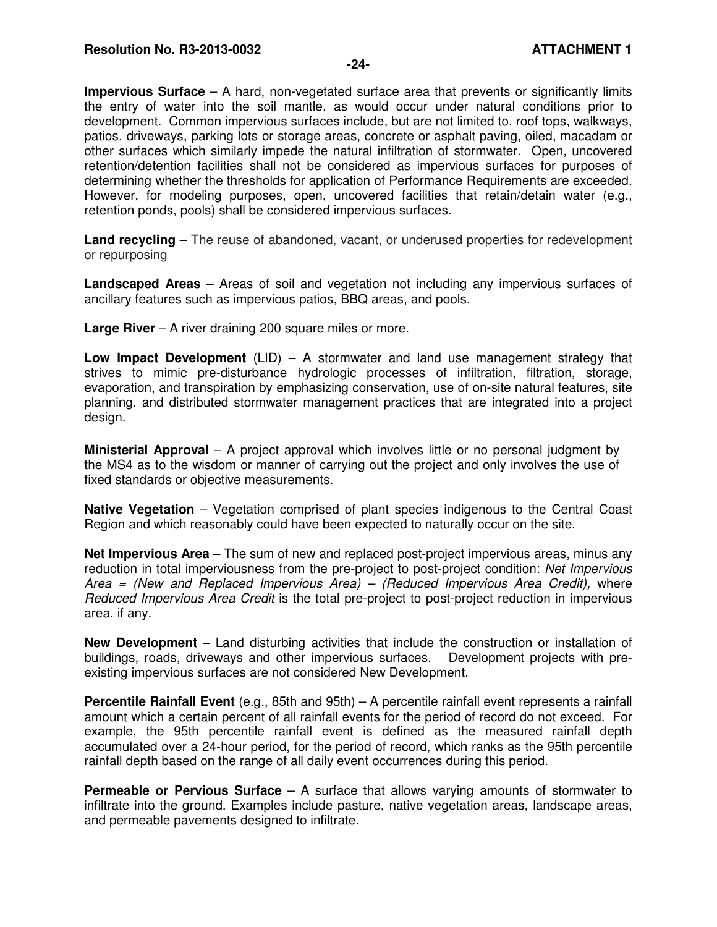**Impervious Surface** – A hard, non-vegetated surface area that prevents or significantly limits the entry of water into the soil mantle, as would occur under natural conditions prior to development. Common impervious surfaces include, but are not limited to, roof tops, walkways, patios, driveways, parking lots or storage areas, concrete or asphalt paving, oiled, macadam or other surfaces which similarly impede the natural infiltration of stormwater. Open, uncovered retention/detention facilities shall not be considered as impervious surfaces for purposes of determining whether the thresholds for application of Performance Requirements are exceeded. However, for modeling purposes, open, uncovered facilities that retain/detain water (e.g., retention ponds, pools) shall be considered impervious surfaces.

**Land recycling** – The reuse of abandoned, vacant, or underused properties for redevelopment or repurposing

**Landscaped Areas** – Areas of soil and vegetation not including any impervious surfaces of ancillary features such as impervious patios, BBQ areas, and pools.

**Large River** – A river draining 200 square miles or more.

**Low Impact Development** (LID) – A stormwater and land use management strategy that strives to mimic pre-disturbance hydrologic processes of infiltration, filtration, storage, evaporation, and transpiration by emphasizing conservation, use of on-site natural features, site planning, and distributed stormwater management practices that are integrated into a project design.

**Ministerial Approval** – A project approval which involves little or no personal judgment by the MS4 as to the wisdom or manner of carrying out the project and only involves the use of fixed standards or objective measurements.

**Native Vegetation** – Vegetation comprised of plant species indigenous to the Central Coast Region and which reasonably could have been expected to naturally occur on the site.

**Net Impervious Area** – The sum of new and replaced post-project impervious areas, minus any reduction in total imperviousness from the pre-project to post-project condition: Net Impervious Area = (New and Replaced Impervious Area) – (Reduced Impervious Area Credit), where Reduced Impervious Area Credit is the total pre-project to post-project reduction in impervious area, if any.

**New Development** – Land disturbing activities that include the construction or installation of buildings, roads, driveways and other impervious surfaces. Development projects with preexisting impervious surfaces are not considered New Development.

**Percentile Rainfall Event** (e.g., 85th and 95th) – A percentile rainfall event represents a rainfall amount which a certain percent of all rainfall events for the period of record do not exceed. For example, the 95th percentile rainfall event is defined as the measured rainfall depth accumulated over a 24-hour period, for the period of record, which ranks as the 95th percentile rainfall depth based on the range of all daily event occurrences during this period.

**Permeable or Pervious Surface** – A surface that allows varying amounts of stormwater to infiltrate into the ground. Examples include pasture, native vegetation areas, landscape areas, and permeable pavements designed to infiltrate.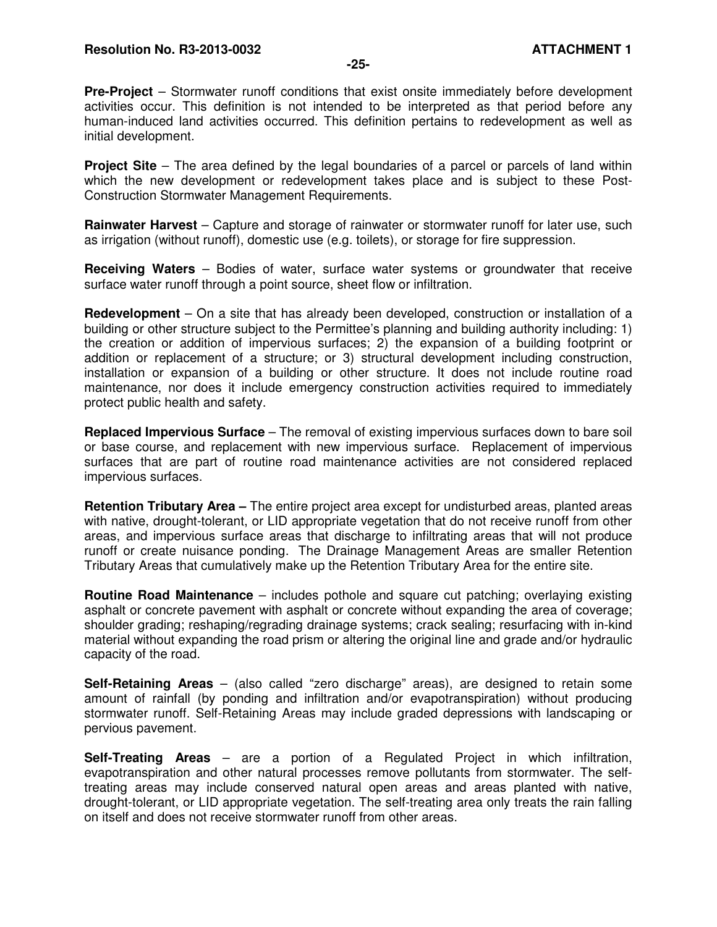**Pre-Project** – Stormwater runoff conditions that exist onsite immediately before development activities occur. This definition is not intended to be interpreted as that period before any human-induced land activities occurred. This definition pertains to redevelopment as well as initial development.

**Project Site** – The area defined by the legal boundaries of a parcel or parcels of land within which the new development or redevelopment takes place and is subject to these Post-Construction Stormwater Management Requirements.

**Rainwater Harvest** – Capture and storage of rainwater or stormwater runoff for later use, such as irrigation (without runoff), domestic use (e.g. toilets), or storage for fire suppression.

**Receiving Waters** – Bodies of water, surface water systems or groundwater that receive surface water runoff through a point source, sheet flow or infiltration.

**Redevelopment** – On a site that has already been developed, construction or installation of a building or other structure subject to the Permittee's planning and building authority including: 1) the creation or addition of impervious surfaces; 2) the expansion of a building footprint or addition or replacement of a structure; or 3) structural development including construction, installation or expansion of a building or other structure. It does not include routine road maintenance, nor does it include emergency construction activities required to immediately protect public health and safety.

**Replaced Impervious Surface** – The removal of existing impervious surfaces down to bare soil or base course, and replacement with new impervious surface. Replacement of impervious surfaces that are part of routine road maintenance activities are not considered replaced impervious surfaces.

**Retention Tributary Area –** The entire project area except for undisturbed areas, planted areas with native, drought-tolerant, or LID appropriate vegetation that do not receive runoff from other areas, and impervious surface areas that discharge to infiltrating areas that will not produce runoff or create nuisance ponding. The Drainage Management Areas are smaller Retention Tributary Areas that cumulatively make up the Retention Tributary Area for the entire site.

**Routine Road Maintenance** – includes pothole and square cut patching; overlaying existing asphalt or concrete pavement with asphalt or concrete without expanding the area of coverage; shoulder grading; reshaping/regrading drainage systems; crack sealing; resurfacing with in-kind material without expanding the road prism or altering the original line and grade and/or hydraulic capacity of the road.

**Self-Retaining Areas** – (also called "zero discharge" areas), are designed to retain some amount of rainfall (by ponding and infiltration and/or evapotranspiration) without producing stormwater runoff. Self-Retaining Areas may include graded depressions with landscaping or pervious pavement.

**Self-Treating Areas** – are a portion of a Regulated Project in which infiltration, evapotranspiration and other natural processes remove pollutants from stormwater. The selftreating areas may include conserved natural open areas and areas planted with native, drought-tolerant, or LID appropriate vegetation. The self-treating area only treats the rain falling on itself and does not receive stormwater runoff from other areas.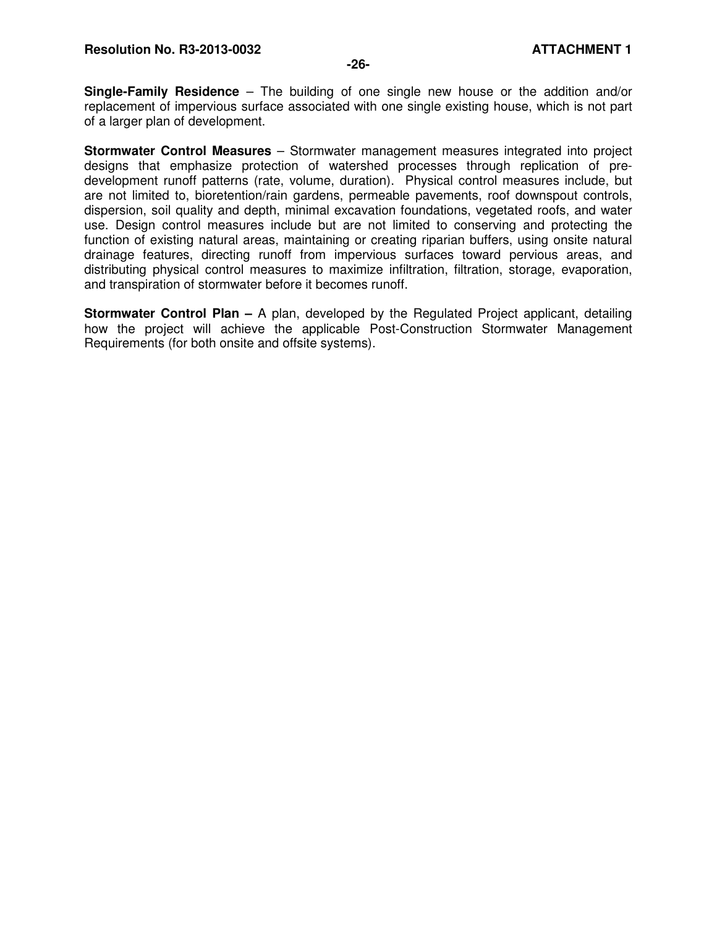**Single-Family Residence** – The building of one single new house or the addition and/or replacement of impervious surface associated with one single existing house, which is not part of a larger plan of development.

**Stormwater Control Measures** – Stormwater management measures integrated into project designs that emphasize protection of watershed processes through replication of predevelopment runoff patterns (rate, volume, duration). Physical control measures include, but are not limited to, bioretention/rain gardens, permeable pavements, roof downspout controls, dispersion, soil quality and depth, minimal excavation foundations, vegetated roofs, and water use. Design control measures include but are not limited to conserving and protecting the function of existing natural areas, maintaining or creating riparian buffers, using onsite natural drainage features, directing runoff from impervious surfaces toward pervious areas, and distributing physical control measures to maximize infiltration, filtration, storage, evaporation, and transpiration of stormwater before it becomes runoff.

**Stormwater Control Plan –** A plan, developed by the Regulated Project applicant, detailing how the project will achieve the applicable Post-Construction Stormwater Management Requirements (for both onsite and offsite systems).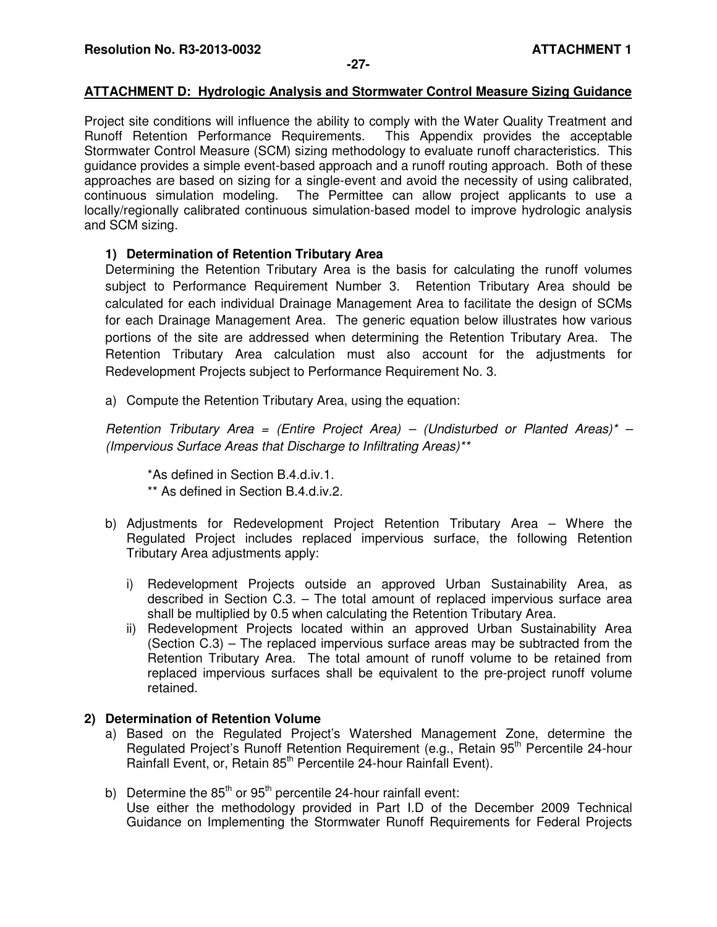#### **-27-**

## **ATTACHMENT D: Hydrologic Analysis and Stormwater Control Measure Sizing Guidance**

Project site conditions will influence the ability to comply with the Water Quality Treatment and Runoff Retention Performance Requirements. This Appendix provides the acceptable Stormwater Control Measure (SCM) sizing methodology to evaluate runoff characteristics. This guidance provides a simple event-based approach and a runoff routing approach. Both of these approaches are based on sizing for a single-event and avoid the necessity of using calibrated, continuous simulation modeling. The Permittee can allow project applicants to use a locally/regionally calibrated continuous simulation-based model to improve hydrologic analysis and SCM sizing.

## **1) Determination of Retention Tributary Area**

Determining the Retention Tributary Area is the basis for calculating the runoff volumes subject to Performance Requirement Number 3. Retention Tributary Area should be calculated for each individual Drainage Management Area to facilitate the design of SCMs for each Drainage Management Area. The generic equation below illustrates how various portions of the site are addressed when determining the Retention Tributary Area. The Retention Tributary Area calculation must also account for the adjustments for Redevelopment Projects subject to Performance Requirement No. 3.

a) Compute the Retention Tributary Area, using the equation:

Retention Tributary Area = (Entire Project Area) – (Undisturbed or Planted Areas)\* – (Impervious Surface Areas that Discharge to Infiltrating Areas)\*\*

\*As defined in Section B.4.d.iv.1. \*\* As defined in Section B.4.d.iv.2.

- b) Adjustments for Redevelopment Project Retention Tributary Area Where the Regulated Project includes replaced impervious surface, the following Retention Tributary Area adjustments apply:
	- i) Redevelopment Projects outside an approved Urban Sustainability Area, as described in Section C.3. – The total amount of replaced impervious surface area shall be multiplied by 0.5 when calculating the Retention Tributary Area.
	- ii) Redevelopment Projects located within an approved Urban Sustainability Area (Section C.3) – The replaced impervious surface areas may be subtracted from the Retention Tributary Area. The total amount of runoff volume to be retained from replaced impervious surfaces shall be equivalent to the pre-project runoff volume retained.

## **2) Determination of Retention Volume**

- a) Based on the Regulated Project's Watershed Management Zone, determine the Regulated Project's Runoff Retention Requirement (e.g., Retain 95<sup>th</sup> Percentile 24-hour Rainfall Event, or, Retain 85<sup>th</sup> Percentile 24-hour Rainfall Event).
- b) Determine the  $85<sup>th</sup>$  or  $95<sup>th</sup>$  percentile 24-hour rainfall event: Use either the methodology provided in Part I.D of the December 2009 Technical Guidance on Implementing the Stormwater Runoff Requirements for Federal Projects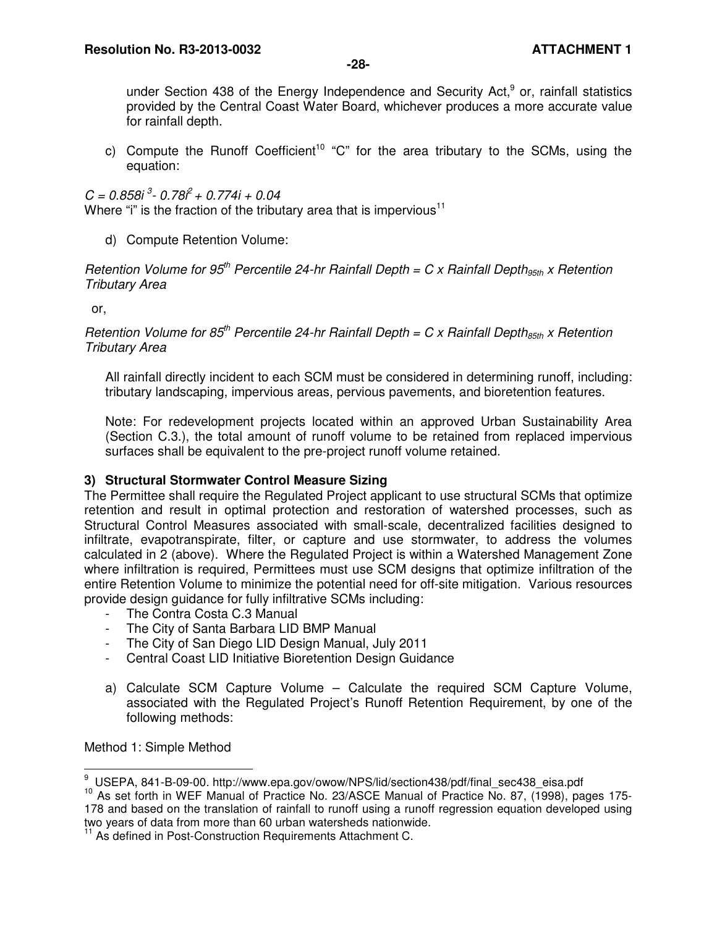**-28-** 

under Section 438 of the Energy Independence and Security Act,<sup>9</sup> or, rainfall statistics provided by the Central Coast Water Board, whichever produces a more accurate value for rainfall depth.

c) Compute the Runoff Coefficient<sup>10</sup> "C" for the area tributary to the SCMs, using the equation:

 $C = 0.858i<sup>3</sup> - 0.78i<sup>2</sup> + 0.774i + 0.04$ Where "i" is the fraction of the tributary area that is impervious<sup>11</sup>

d) Compute Retention Volume:

Retention Volume for 95<sup>th</sup> Percentile 24-hr Rainfall Depth = C x Rainfall Depth<sub>95th</sub> x Retention Tributary Area

or,

Retention Volume for 85<sup>th</sup> Percentile 24-hr Rainfall Depth = C x Rainfall Depth<sub>85th</sub> x Retention Tributary Area

All rainfall directly incident to each SCM must be considered in determining runoff, including: tributary landscaping, impervious areas, pervious pavements, and bioretention features.

Note: For redevelopment projects located within an approved Urban Sustainability Area (Section C.3.), the total amount of runoff volume to be retained from replaced impervious surfaces shall be equivalent to the pre-project runoff volume retained.

# **3) Structural Stormwater Control Measure Sizing**

The Permittee shall require the Regulated Project applicant to use structural SCMs that optimize retention and result in optimal protection and restoration of watershed processes, such as Structural Control Measures associated with small-scale, decentralized facilities designed to infiltrate, evapotranspirate, filter, or capture and use stormwater, to address the volumes calculated in 2 (above). Where the Regulated Project is within a Watershed Management Zone where infiltration is required, Permittees must use SCM designs that optimize infiltration of the entire Retention Volume to minimize the potential need for off-site mitigation. Various resources provide design guidance for fully infiltrative SCMs including:

- The Contra Costa C.3 Manual
- The City of Santa Barbara LID BMP Manual
- The City of San Diego LID Design Manual, July 2011
- Central Coast LID Initiative Bioretention Design Guidance
- a) Calculate SCM Capture Volume Calculate the required SCM Capture Volume, associated with the Regulated Project's Runoff Retention Requirement, by one of the following methods:

Method 1: Simple Method

 9 USEPA, 841-B-09-00. http://www.epa.gov/owow/NPS/lid/section438/pdf/final\_sec438\_eisa.pdf

<sup>&</sup>lt;sup>10</sup> As set forth in WEF Manual of Practice No. 23/ASCE Manual of Practice No. 87, (1998), pages 175-178 and based on the translation of rainfall to runoff using a runoff regression equation developed using two years of data from more than 60 urban watersheds nationwide.

As defined in Post-Construction Requirements Attachment C.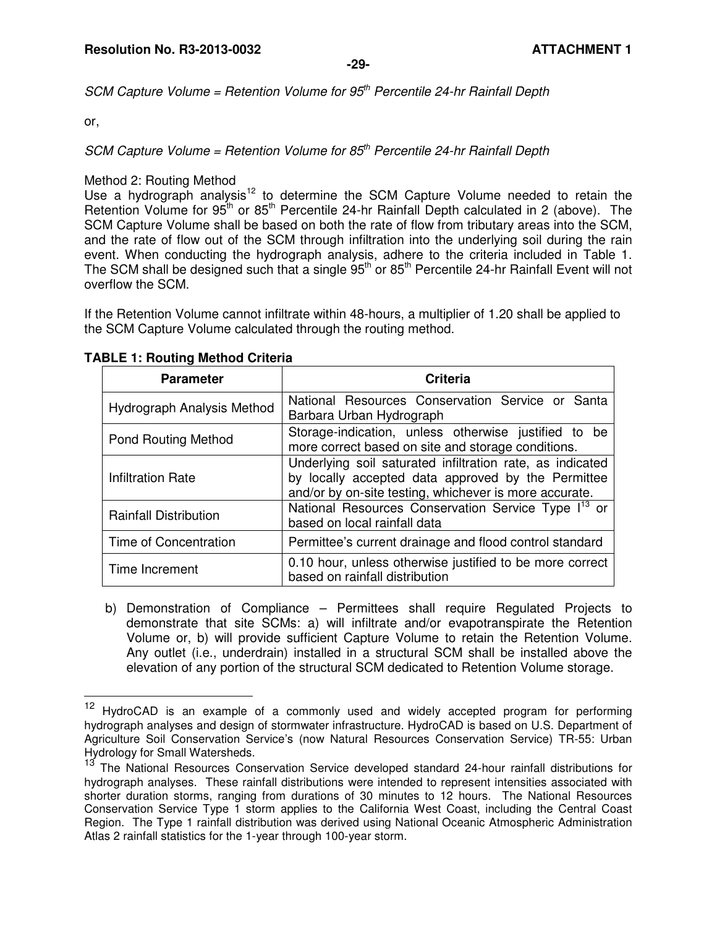SCM Capture Volume = Retention Volume for  $95<sup>th</sup>$  Percentile 24-hr Rainfall Depth

or,

 $\overline{a}$ 

SCM Capture Volume = Retention Volume for  $85<sup>th</sup>$  Percentile 24-hr Rainfall Depth

Method 2: Routing Method

Use a hydrograph analysis<sup>12</sup> to determine the SCM Capture Volume needed to retain the Retention Volume for  $95<sup>th</sup>$  or  $85<sup>th</sup>$  Percentile 24-hr Rainfall Depth calculated in 2 (above). The SCM Capture Volume shall be based on both the rate of flow from tributary areas into the SCM, and the rate of flow out of the SCM through infiltration into the underlying soil during the rain event. When conducting the hydrograph analysis, adhere to the criteria included in Table 1. The SCM shall be designed such that a single  $95<sup>th</sup>$  or  $85<sup>th</sup>$  Percentile 24-hr Rainfall Event will not overflow the SCM.

If the Retention Volume cannot infiltrate within 48-hours, a multiplier of 1.20 shall be applied to the SCM Capture Volume calculated through the routing method.

| <b>Parameter</b>             | <b>Criteria</b>                                                                                                                                                           |  |  |
|------------------------------|---------------------------------------------------------------------------------------------------------------------------------------------------------------------------|--|--|
| Hydrograph Analysis Method   | National Resources Conservation Service or Santa<br>Barbara Urban Hydrograph                                                                                              |  |  |
| <b>Pond Routing Method</b>   | Storage-indication, unless otherwise justified to be<br>more correct based on site and storage conditions.                                                                |  |  |
| <b>Infiltration Rate</b>     | Underlying soil saturated infiltration rate, as indicated<br>by locally accepted data approved by the Permittee<br>and/or by on-site testing, whichever is more accurate. |  |  |
| <b>Rainfall Distribution</b> | National Resources Conservation Service Type I <sup>13</sup> or<br>based on local rainfall data                                                                           |  |  |
| Time of Concentration        | Permittee's current drainage and flood control standard                                                                                                                   |  |  |
| Time Increment               | 0.10 hour, unless otherwise justified to be more correct<br>based on rainfall distribution                                                                                |  |  |

#### **TABLE 1: Routing Method Criteria**

b) Demonstration of Compliance – Permittees shall require Regulated Projects to demonstrate that site SCMs: a) will infiltrate and/or evapotranspirate the Retention Volume or, b) will provide sufficient Capture Volume to retain the Retention Volume. Any outlet (i.e., underdrain) installed in a structural SCM shall be installed above the elevation of any portion of the structural SCM dedicated to Retention Volume storage.

<sup>&</sup>lt;sup>12</sup> HydroCAD is an example of a commonly used and widely accepted program for performing hydrograph analyses and design of stormwater infrastructure. HydroCAD is based on U.S. Department of Agriculture Soil Conservation Service's (now Natural Resources Conservation Service) TR-55: Urban Hydrology for Small Watersheds.

The National Resources Conservation Service developed standard 24-hour rainfall distributions for hydrograph analyses. These rainfall distributions were intended to represent intensities associated with shorter duration storms, ranging from durations of 30 minutes to 12 hours. The National Resources Conservation Service Type 1 storm applies to the California West Coast, including the Central Coast Region. The Type 1 rainfall distribution was derived using National Oceanic Atmospheric Administration Atlas 2 rainfall statistics for the 1-year through 100-year storm.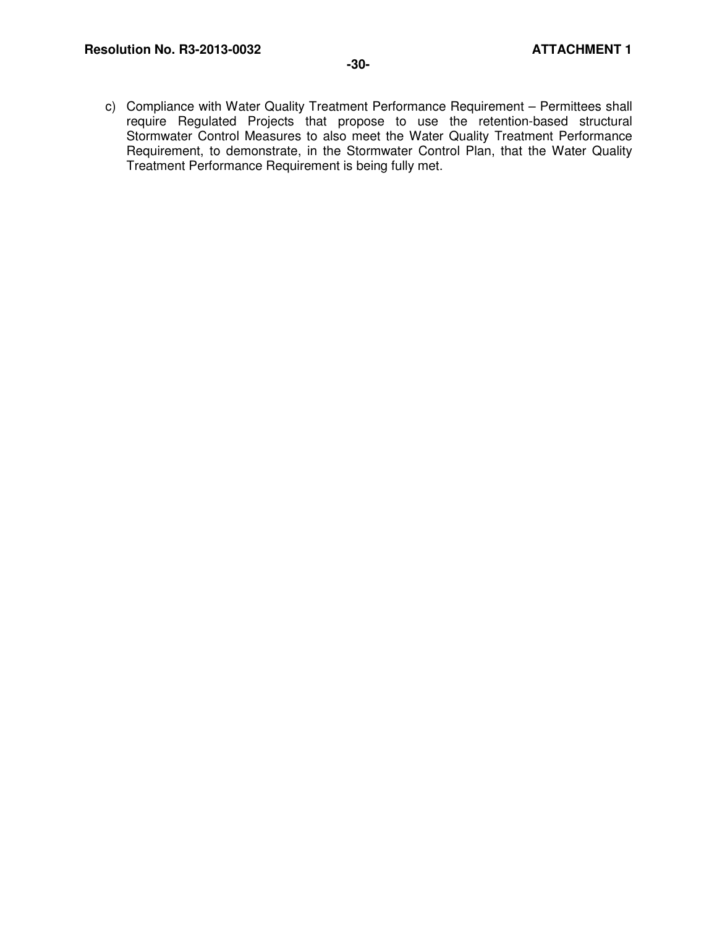c) Compliance with Water Quality Treatment Performance Requirement – Permittees shall require Regulated Projects that propose to use the retention-based structural Stormwater Control Measures to also meet the Water Quality Treatment Performance Requirement, to demonstrate, in the Stormwater Control Plan, that the Water Quality Treatment Performance Requirement is being fully met.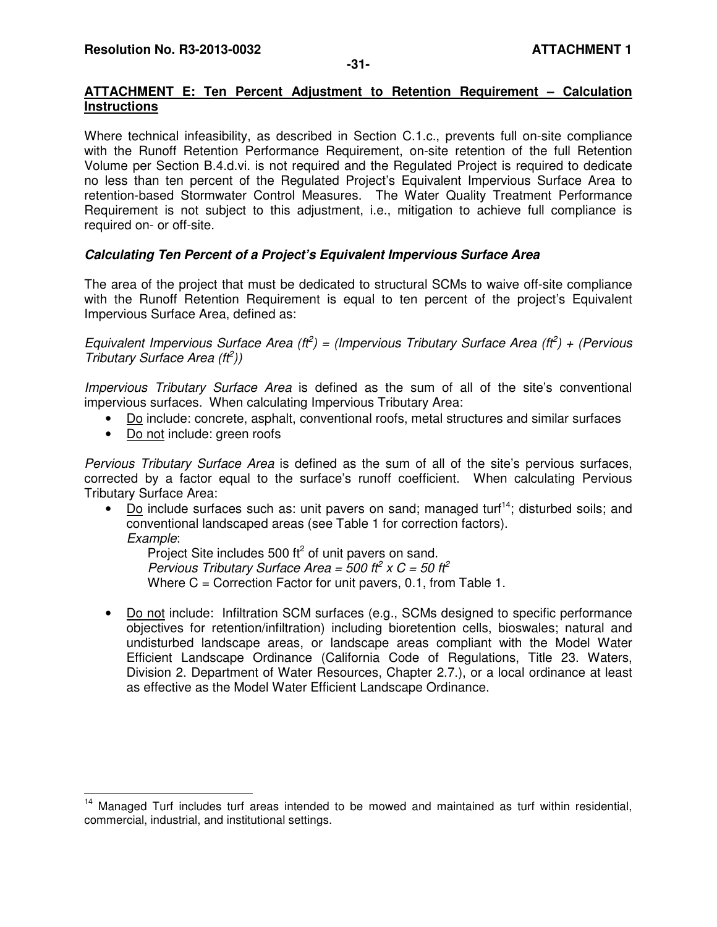## **ATTACHMENT E: Ten Percent Adjustment to Retention Requirement – Calculation Instructions**

Where technical infeasibility, as described in Section C.1.c., prevents full on-site compliance with the Runoff Retention Performance Requirement, on-site retention of the full Retention Volume per Section B.4.d.vi. is not required and the Regulated Project is required to dedicate no less than ten percent of the Regulated Project's Equivalent Impervious Surface Area to retention-based Stormwater Control Measures. The Water Quality Treatment Performance Requirement is not subject to this adjustment, i.e., mitigation to achieve full compliance is required on- or off-site.

# **Calculating Ten Percent of a Project's Equivalent Impervious Surface Area**

The area of the project that must be dedicated to structural SCMs to waive off-site compliance with the Runoff Retention Requirement is equal to ten percent of the project's Equivalent Impervious Surface Area, defined as:

Equivalent Impervious Surface Area ( $tf^2$ ) = (Impervious Tributary Surface Area ( $tf^2$ ) + (Pervious Tributary Surface Area  $(t\bar{t}^2)$ )

Impervious Tributary Surface Area is defined as the sum of all of the site's conventional impervious surfaces. When calculating Impervious Tributary Area:

- Do include: concrete, asphalt, conventional roofs, metal structures and similar surfaces
- Do not include: green roofs

Pervious Tributary Surface Area is defined as the sum of all of the site's pervious surfaces, corrected by a factor equal to the surface's runoff coefficient. When calculating Pervious Tributary Surface Area:

• Do include surfaces such as: unit pavers on sand; managed turf<sup>14</sup>; disturbed soils; and conventional landscaped areas (see Table 1 for correction factors). Example:

Project Site includes 500 ft $^2$  of unit pavers on sand. Pervious Tributary Surface Area = 500 ft<sup>2</sup> x C = 50 ft<sup>2</sup> Where C = Correction Factor for unit pavers, 0.1, from Table 1.

• Do not include: Infiltration SCM surfaces (e.g., SCMs designed to specific performance objectives for retention/infiltration) including bioretention cells, bioswales; natural and undisturbed landscape areas, or landscape areas compliant with the Model Water Efficient Landscape Ordinance (California Code of Regulations, Title 23. Waters, Division 2. Department of Water Resources, Chapter 2.7.), or a local ordinance at least as effective as the Model Water Efficient Landscape Ordinance.

 $\overline{a}$ <sup>14</sup> Managed Turf includes turf areas intended to be mowed and maintained as turf within residential, commercial, industrial, and institutional settings.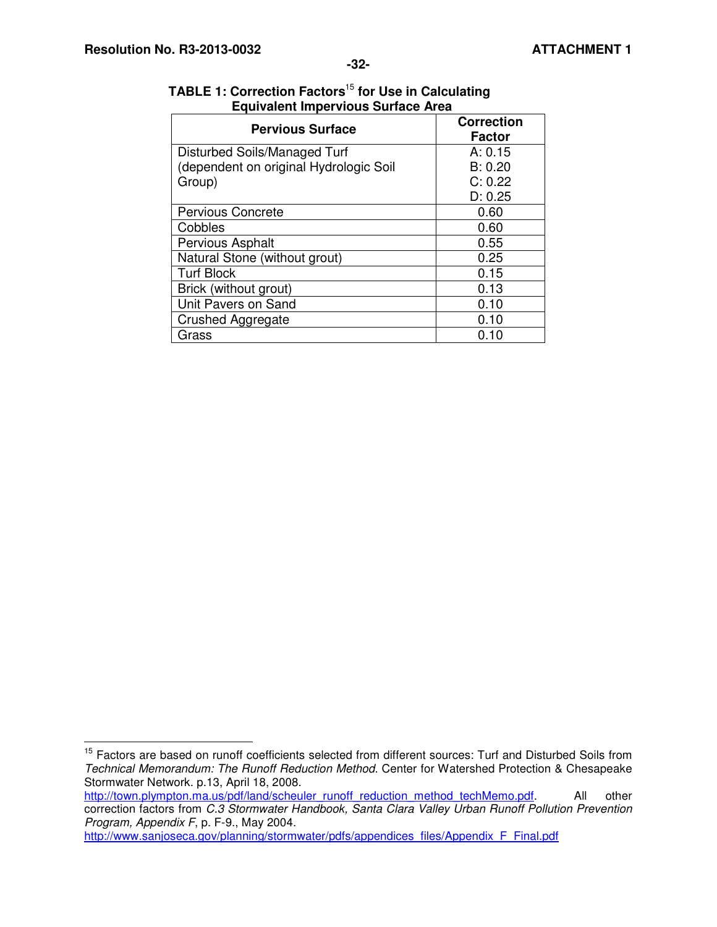$\overline{\phantom{a}}$ 

| <b>Pervious Surface</b>                | <b>Correction</b><br><b>Factor</b> |
|----------------------------------------|------------------------------------|
| Disturbed Soils/Managed Turf           | A: 0.15                            |
| (dependent on original Hydrologic Soil | B: 0.20                            |
| Group)                                 | C: 0.22                            |
|                                        | D: 0.25                            |
| <b>Pervious Concrete</b>               | 0.60                               |
| Cobbles                                | 0.60                               |
| Pervious Asphalt                       | 0.55                               |
| Natural Stone (without grout)          | 0.25                               |
| <b>Turf Block</b>                      | 0.15                               |
| Brick (without grout)                  | 0.13                               |
| Unit Pavers on Sand                    | 0.10                               |
| Crushed Aggregate                      | 0.10                               |
| Grass                                  | 0.10                               |

## **TABLE 1: Correction Factors**<sup>15</sup> **for Use in Calculating Equivalent Impervious Surface Area**

http://town.plympton.ma.us/pdf/land/scheuler\_runoff\_reduction\_method\_techMemo.pdf. All other correction factors from C.3 Stormwater Handbook, Santa Clara Valley Urban Runoff Pollution Prevention Program, Appendix F, p. F-9., May 2004.

http://www.sanjoseca.gov/planning/stormwater/pdfs/appendices\_files/Appendix\_F\_Final.pdf

<sup>&</sup>lt;sup>15</sup> Factors are based on runoff coefficients selected from different sources: Turf and Disturbed Soils from Technical Memorandum: The Runoff Reduction Method. Center for Watershed Protection & Chesapeake Stormwater Network. p.13, April 18, 2008.